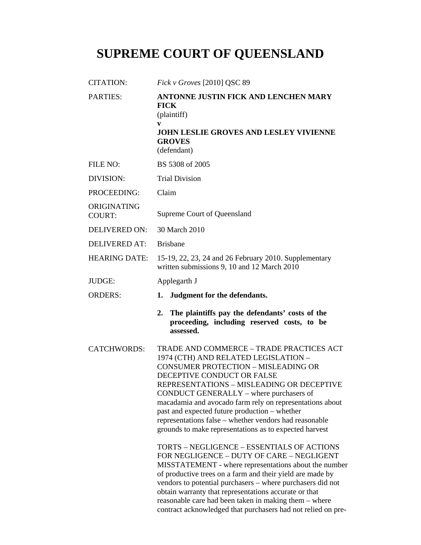# **SUPREME COURT OF QUEENSLAND**

| CITATION:                    | Fick v Groves [2010] QSC 89                                                                                                                                                                                                                                                                                                                                                                                                                                                                                                                                                                                                                                                                                                                                          |  |
|------------------------------|----------------------------------------------------------------------------------------------------------------------------------------------------------------------------------------------------------------------------------------------------------------------------------------------------------------------------------------------------------------------------------------------------------------------------------------------------------------------------------------------------------------------------------------------------------------------------------------------------------------------------------------------------------------------------------------------------------------------------------------------------------------------|--|
| <b>PARTIES:</b>              | ANTONNE JUSTIN FICK AND LENCHEN MARY<br><b>FICK</b><br>(plaintiff)<br>V                                                                                                                                                                                                                                                                                                                                                                                                                                                                                                                                                                                                                                                                                              |  |
|                              | <b>JOHN LESLIE GROVES AND LESLEY VIVIENNE</b><br><b>GROVES</b><br>(defendant)                                                                                                                                                                                                                                                                                                                                                                                                                                                                                                                                                                                                                                                                                        |  |
| FILE NO:                     | BS 5308 of 2005                                                                                                                                                                                                                                                                                                                                                                                                                                                                                                                                                                                                                                                                                                                                                      |  |
| DIVISION:                    | <b>Trial Division</b>                                                                                                                                                                                                                                                                                                                                                                                                                                                                                                                                                                                                                                                                                                                                                |  |
| PROCEEDING:                  | Claim                                                                                                                                                                                                                                                                                                                                                                                                                                                                                                                                                                                                                                                                                                                                                                |  |
| ORIGINATING<br><b>COURT:</b> | Supreme Court of Queensland                                                                                                                                                                                                                                                                                                                                                                                                                                                                                                                                                                                                                                                                                                                                          |  |
| <b>DELIVERED ON:</b>         | 30 March 2010                                                                                                                                                                                                                                                                                                                                                                                                                                                                                                                                                                                                                                                                                                                                                        |  |
| <b>DELIVERED AT:</b>         | <b>Brisbane</b>                                                                                                                                                                                                                                                                                                                                                                                                                                                                                                                                                                                                                                                                                                                                                      |  |
| <b>HEARING DATE:</b>         | 15-19, 22, 23, 24 and 26 February 2010. Supplementary<br>written submissions 9, 10 and 12 March 2010                                                                                                                                                                                                                                                                                                                                                                                                                                                                                                                                                                                                                                                                 |  |
| <b>JUDGE:</b>                | Applegarth J                                                                                                                                                                                                                                                                                                                                                                                                                                                                                                                                                                                                                                                                                                                                                         |  |
| <b>ORDERS:</b>               | Judgment for the defendants.<br>1.                                                                                                                                                                                                                                                                                                                                                                                                                                                                                                                                                                                                                                                                                                                                   |  |
|                              | The plaintiffs pay the defendants' costs of the<br>2.<br>proceeding, including reserved costs, to be<br>assessed.                                                                                                                                                                                                                                                                                                                                                                                                                                                                                                                                                                                                                                                    |  |
| <b>CATCHWORDS:</b>           | TRADE AND COMMERCE - TRADE PRACTICES ACT<br>1974 (CTH) AND RELATED LEGISLATION -<br><b>CONSUMER PROTECTION - MISLEADING OR</b><br>DECEPTIVE CONDUCT OR FALSE<br>REPRESENTATIONS - MISLEADING OR DECEPTIVE<br>CONDUCT GENERALLY - where purchasers of<br>macadamia and avocado farm rely on representations about<br>past and expected future production - whether<br>representations false - whether vendors had reasonable<br>grounds to make representations as to expected harvest<br>TORTS - NEGLIGENCE - ESSENTIALS OF ACTIONS<br>FOR NEGLIGENCE - DUTY OF CARE - NEGLIGENT<br>MISSTATEMENT - where representations about the number<br>of productive trees on a farm and their yield are made by<br>vendors to potential purchasers - where purchasers did not |  |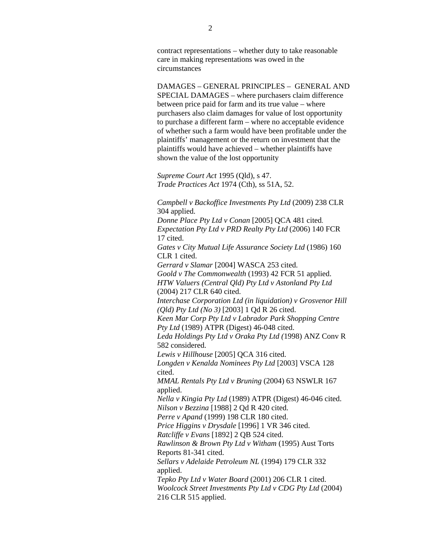contract representations – whether duty to take reasonable care in making representations was owed in the circumstances

DAMAGES – GENERAL PRINCIPLES – GENERAL AND SPECIAL DAMAGES – where purchasers claim difference between price paid for farm and its true value – where purchasers also claim damages for value of lost opportunity to purchase a different farm – where no acceptable evidence of whether such a farm would have been profitable under the plaintiffs' management or the return on investment that the plaintiffs would have achieved – whether plaintiffs have shown the value of the lost opportunity

*Supreme Court Act* 1995 (Qld), s 47. *Trade Practices Act* 1974 (Cth), ss 51A, 52.

*Campbell v Backoffice Investments Pty Ltd* (2009) 238 CLR 304 applied.

*Donne Place Pty Ltd v Conan* [2005] QCA 481 cited. *Expectation Pty Ltd v PRD Realty Pty Ltd* (2006) 140 FCR 17 cited.

*Gates v City Mutual Life Assurance Society Ltd* (1986) 160 CLR 1 cited.

*Gerrard v Slamar* [2004] WASCA 253 cited. *Goold v The Commonwealth* (1993) 42 FCR 51 applied. *HTW Valuers (Central Qld) Pty Ltd v Astonland Pty Ltd*  (2004) 217 CLR 640 cited.

*Interchase Corporation Ltd (in liquidation) v Grosvenor Hill (Qld) Pty Ltd (No 3)* [2003] 1 Qd R 26 cited.

*Keen Mar Corp Pty Ltd v Labrador Park Shopping Centre Pty Ltd* (1989) ATPR (Digest) 46-048 cited.

*Leda Holdings Pty Ltd v Oraka Pty Ltd (*1998) ANZ Conv R 582 considered.

*Lewis v Hillhouse* [2005] QCA 316 cited.

*Longden v Kenalda Nominees Pty Ltd* [2003] VSCA 128 cited.

*MMAL Rentals Pty Ltd v Bruning* (2004) 63 NSWLR 167 applied.

*Nella v Kingia Pty Ltd* (1989) ATPR (Digest) 46-046 cited. *Nilson v Bezzina* [1988] 2 Qd R 420 cited.

*Perre v Apand* (1999) 198 CLR 180 cited.

*Price Higgins v Drysdale* [1996] 1 VR 346 cited.

*Ratcliffe v Evans* [1892] 2 QB 524 cited.

*Rawlinson & Brown Pty Ltd v Witham* (1995) Aust Torts Reports 81-341 cited.

*Sellars v Adelaide Petroleum NL* (1994) 179 CLR 332 applied.

*Tepko Pty Ltd v Water Board* (2001) 206 CLR 1 cited. *Woolcock Street Investments Pty Ltd v CDG Pty Ltd* (2004) 216 CLR 515 applied.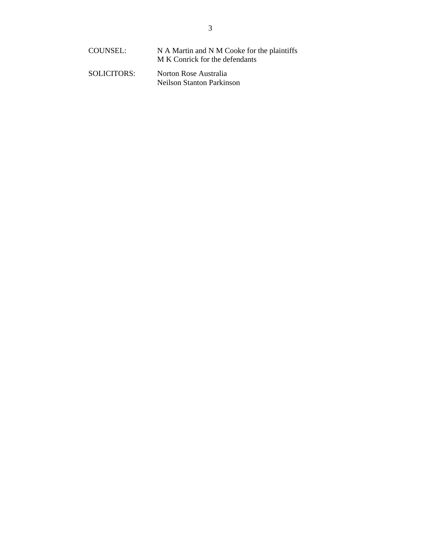| COUNSEL:    | N A Martin and N M Cooke for the plaintiffs<br>M K Conrick for the defendants |
|-------------|-------------------------------------------------------------------------------|
| SOLICITORS: | Norton Rose Australia<br>Neilson Stanton Parkinson                            |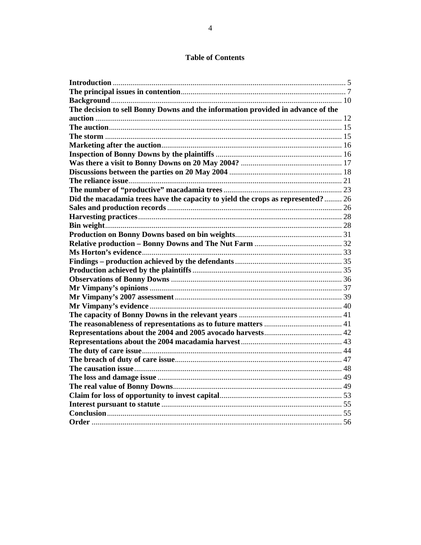## **Table of Contents**

| The decision to sell Bonny Downs and the information provided in advance of the |  |
|---------------------------------------------------------------------------------|--|
|                                                                                 |  |
|                                                                                 |  |
|                                                                                 |  |
|                                                                                 |  |
|                                                                                 |  |
|                                                                                 |  |
|                                                                                 |  |
|                                                                                 |  |
|                                                                                 |  |
| Did the macadamia trees have the capacity to yield the crops as represented? 26 |  |
|                                                                                 |  |
|                                                                                 |  |
|                                                                                 |  |
|                                                                                 |  |
|                                                                                 |  |
|                                                                                 |  |
|                                                                                 |  |
|                                                                                 |  |
|                                                                                 |  |
|                                                                                 |  |
|                                                                                 |  |
|                                                                                 |  |
|                                                                                 |  |
|                                                                                 |  |
|                                                                                 |  |
|                                                                                 |  |
|                                                                                 |  |
|                                                                                 |  |
|                                                                                 |  |
|                                                                                 |  |
|                                                                                 |  |
|                                                                                 |  |
|                                                                                 |  |
|                                                                                 |  |
|                                                                                 |  |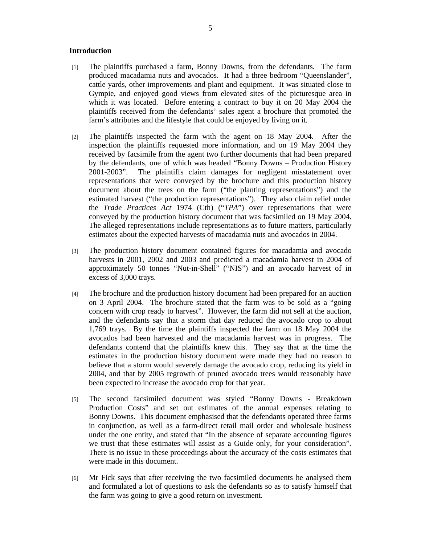#### **Introduction**

- [1] The plaintiffs purchased a farm, Bonny Downs, from the defendants. The farm produced macadamia nuts and avocados. It had a three bedroom "Queenslander", cattle yards, other improvements and plant and equipment. It was situated close to Gympie, and enjoyed good views from elevated sites of the picturesque area in which it was located. Before entering a contract to buy it on 20 May 2004 the plaintiffs received from the defendants' sales agent a brochure that promoted the farm's attributes and the lifestyle that could be enjoyed by living on it.
- [2] The plaintiffs inspected the farm with the agent on 18 May 2004. After the inspection the plaintiffs requested more information, and on 19 May 2004 they received by facsimile from the agent two further documents that had been prepared by the defendants, one of which was headed "Bonny Downs – Production History 2001-2003". The plaintiffs claim damages for negligent misstatement over representations that were conveyed by the brochure and this production history document about the trees on the farm ("the planting representations") and the estimated harvest ("the production representations"). They also claim relief under the *Trade Practices Act* 1974 (Cth) ("*TPA*") over representations that were conveyed by the production history document that was facsimiled on 19 May 2004. The alleged representations include representations as to future matters, particularly estimates about the expected harvests of macadamia nuts and avocados in 2004.
- [3] The production history document contained figures for macadamia and avocado harvests in 2001, 2002 and 2003 and predicted a macadamia harvest in 2004 of approximately 50 tonnes "Nut-in-Shell" ("NIS") and an avocado harvest of in excess of 3,000 trays.
- [4] The brochure and the production history document had been prepared for an auction on 3 April 2004. The brochure stated that the farm was to be sold as a "going concern with crop ready to harvest". However, the farm did not sell at the auction, and the defendants say that a storm that day reduced the avocado crop to about 1,769 trays. By the time the plaintiffs inspected the farm on 18 May 2004 the avocados had been harvested and the macadamia harvest was in progress. The defendants contend that the plaintiffs knew this. They say that at the time the estimates in the production history document were made they had no reason to believe that a storm would severely damage the avocado crop, reducing its yield in 2004, and that by 2005 regrowth of pruned avocado trees would reasonably have been expected to increase the avocado crop for that year.
- [5] The second facsimiled document was styled "Bonny Downs Breakdown Production Costs" and set out estimates of the annual expenses relating to Bonny Downs. This document emphasised that the defendants operated three farms in conjunction, as well as a farm-direct retail mail order and wholesale business under the one entity, and stated that "In the absence of separate accounting figures we trust that these estimates will assist as a Guide only, for your consideration". There is no issue in these proceedings about the accuracy of the costs estimates that were made in this document.
- [6] Mr Fick says that after receiving the two facsimiled documents he analysed them and formulated a lot of questions to ask the defendants so as to satisfy himself that the farm was going to give a good return on investment.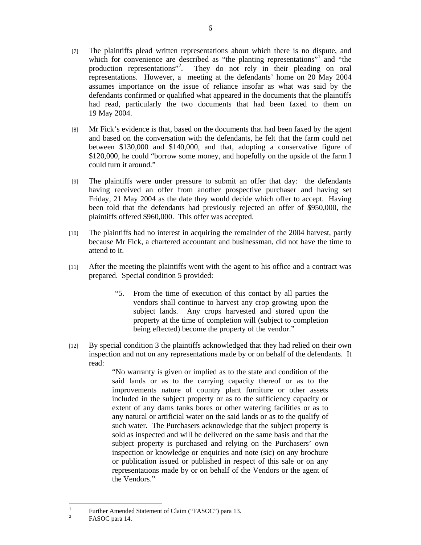- [7] The plaintiffs plead written representations about which there is no dispute, and which for convenience are described as "the planting representations"<sup>1</sup> and "the production representations"<sup>2</sup>. They do not rely in their pleading on oral representations. However, a meeting at the defendants' home on 20 May 2004 assumes importance on the issue of reliance insofar as what was said by the defendants confirmed or qualified what appeared in the documents that the plaintiffs had read, particularly the two documents that had been faxed to them on 19 May 2004.
- [8] Mr Fick's evidence is that, based on the documents that had been faxed by the agent and based on the conversation with the defendants, he felt that the farm could net between \$130,000 and \$140,000, and that, adopting a conservative figure of \$120,000, he could "borrow some money, and hopefully on the upside of the farm I could turn it around."
- [9] The plaintiffs were under pressure to submit an offer that day: the defendants having received an offer from another prospective purchaser and having set Friday, 21 May 2004 as the date they would decide which offer to accept. Having been told that the defendants had previously rejected an offer of \$950,000, the plaintiffs offered \$960,000. This offer was accepted.
- [10] The plaintiffs had no interest in acquiring the remainder of the 2004 harvest, partly because Mr Fick, a chartered accountant and businessman, did not have the time to attend to it.
- [11] After the meeting the plaintiffs went with the agent to his office and a contract was prepared. Special condition 5 provided:
	- "5. From the time of execution of this contact by all parties the vendors shall continue to harvest any crop growing upon the subject lands. Any crops harvested and stored upon the property at the time of completion will (subject to completion being effected) become the property of the vendor."
- [12] By special condition 3 the plaintiffs acknowledged that they had relied on their own inspection and not on any representations made by or on behalf of the defendants. It read:

"No warranty is given or implied as to the state and condition of the said lands or as to the carrying capacity thereof or as to the improvements nature of country plant furniture or other assets included in the subject property or as to the sufficiency capacity or extent of any dams tanks bores or other watering facilities or as to any natural or artificial water on the said lands or as to the qualify of such water. The Purchasers acknowledge that the subject property is sold as inspected and will be delivered on the same basis and that the subject property is purchased and relying on the Purchasers' own inspection or knowledge or enquiries and note (sic) on any brochure or publication issued or published in respect of this sale or on any representations made by or on behalf of the Vendors or the agent of the Vendors."

 $\frac{1}{1}$  Further Amended Statement of Claim ("FASOC") para 13. 2

FASOC para 14.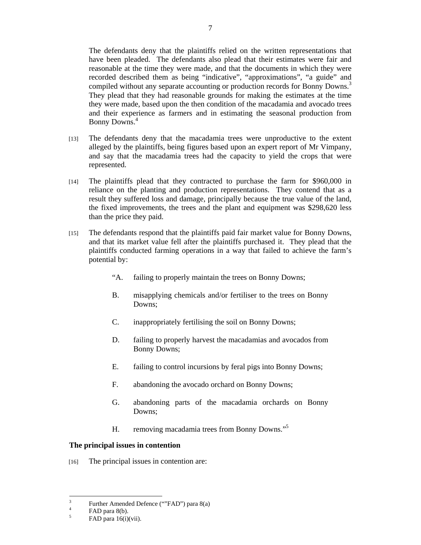The defendants deny that the plaintiffs relied on the written representations that have been pleaded. The defendants also plead that their estimates were fair and reasonable at the time they were made, and that the documents in which they were recorded described them as being "indicative", "approximations", "a guide" and compiled without any separate accounting or production records for Bonny Downs.<sup>3</sup> They plead that they had reasonable grounds for making the estimates at the time they were made, based upon the then condition of the macadamia and avocado trees and their experience as farmers and in estimating the seasonal production from Bonny Downs.4

- [13] The defendants deny that the macadamia trees were unproductive to the extent alleged by the plaintiffs, being figures based upon an expert report of Mr Vimpany, and say that the macadamia trees had the capacity to yield the crops that were represented.
- [14] The plaintiffs plead that they contracted to purchase the farm for \$960,000 in reliance on the planting and production representations. They contend that as a result they suffered loss and damage, principally because the true value of the land, the fixed improvements, the trees and the plant and equipment was \$298,620 less than the price they paid.
- [15] The defendants respond that the plaintiffs paid fair market value for Bonny Downs, and that its market value fell after the plaintiffs purchased it. They plead that the plaintiffs conducted farming operations in a way that failed to achieve the farm's potential by:
	- "A. failing to properly maintain the trees on Bonny Downs;
	- B. misapplying chemicals and/or fertiliser to the trees on Bonny Downs;
	- C. inappropriately fertilising the soil on Bonny Downs;
	- D. failing to properly harvest the macadamias and avocados from Bonny Downs;
	- E. failing to control incursions by feral pigs into Bonny Downs;
	- F. abandoning the avocado orchard on Bonny Downs;
	- G. abandoning parts of the macadamia orchards on Bonny Downs;
	- H. removing macadamia trees from Bonny Downs."5

## **The principal issues in contention**

[16] The principal issues in contention are:

<sup>&</sup>lt;sup>2</sup><br>3 Further Amended Defence (""FAD") para 8(a)

<sup>4</sup> FAD para 8(b).

<sup>5</sup> FAD para 16(i)(vii).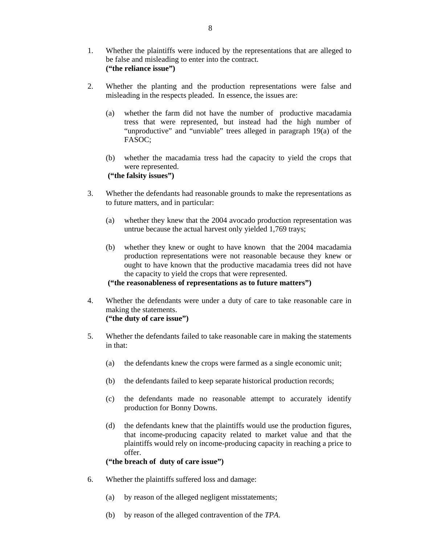- 1. Whether the plaintiffs were induced by the representations that are alleged to be false and misleading to enter into the contract. **("the reliance issue")**
- 2. Whether the planting and the production representations were false and misleading in the respects pleaded. In essence, the issues are:
	- (a) whether the farm did not have the number of productive macadamia tress that were represented, but instead had the high number of "unproductive" and "unviable" trees alleged in paragraph 19(a) of the FASOC;
	- (b) whether the macadamia tress had the capacity to yield the crops that were represented.  **("the falsity issues")**
- 3. Whether the defendants had reasonable grounds to make the representations as to future matters, and in particular:
	- (a) whether they knew that the 2004 avocado production representation was untrue because the actual harvest only yielded 1,769 trays;
	- (b) whether they knew or ought to have known that the 2004 macadamia production representations were not reasonable because they knew or ought to have known that the productive macadamia trees did not have the capacity to yield the crops that were represented.

**("the reasonableness of representations as to future matters")** 

- 4. Whether the defendants were under a duty of care to take reasonable care in making the statements. **("the duty of care issue")**
- 5. Whether the defendants failed to take reasonable care in making the statements in that:
	- (a) the defendants knew the crops were farmed as a single economic unit;
	- (b) the defendants failed to keep separate historical production records;
	- (c) the defendants made no reasonable attempt to accurately identify production for Bonny Downs.
	- (d) the defendants knew that the plaintiffs would use the production figures, that income-producing capacity related to market value and that the plaintiffs would rely on income-producing capacity in reaching a price to offer.

 **("the breach of duty of care issue")** 

- 6. Whether the plaintiffs suffered loss and damage:
	- (a) by reason of the alleged negligent misstatements;
	- (b) by reason of the alleged contravention of the *TPA*.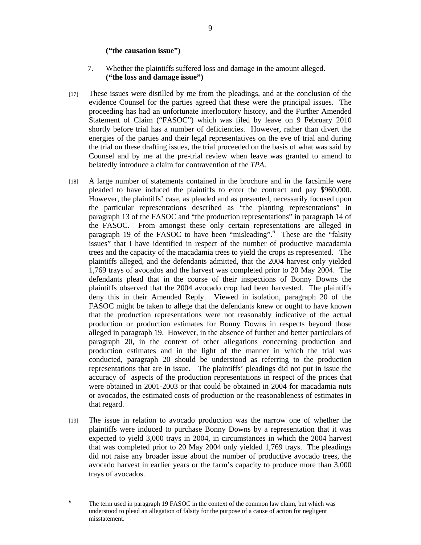#### **("the causation issue")**

- 7. Whether the plaintiffs suffered loss and damage in the amount alleged. **("the loss and damage issue")**
- [17] These issues were distilled by me from the pleadings, and at the conclusion of the evidence Counsel for the parties agreed that these were the principal issues. The proceeding has had an unfortunate interlocutory history, and the Further Amended Statement of Claim ("FASOC") which was filed by leave on 9 February 2010 shortly before trial has a number of deficiencies. However, rather than divert the energies of the parties and their legal representatives on the eve of trial and during the trial on these drafting issues, the trial proceeded on the basis of what was said by Counsel and by me at the pre-trial review when leave was granted to amend to belatedly introduce a claim for contravention of the *TPA*.
- [18] A large number of statements contained in the brochure and in the facsimile were pleaded to have induced the plaintiffs to enter the contract and pay \$960,000. However, the plaintiffs' case, as pleaded and as presented, necessarily focused upon the particular representations described as "the planting representations" in paragraph 13 of the FASOC and "the production representations" in paragraph 14 of the FASOC. From amongst these only certain representations are alleged in paragraph 19 of the FASOC to have been "misleading".<sup>6</sup> These are the "falsity issues" that I have identified in respect of the number of productive macadamia trees and the capacity of the macadamia trees to yield the crops as represented. The plaintiffs alleged, and the defendants admitted, that the 2004 harvest only yielded 1,769 trays of avocados and the harvest was completed prior to 20 May 2004. The defendants plead that in the course of their inspections of Bonny Downs the plaintiffs observed that the 2004 avocado crop had been harvested. The plaintiffs deny this in their Amended Reply. Viewed in isolation, paragraph 20 of the FASOC might be taken to allege that the defendants knew or ought to have known that the production representations were not reasonably indicative of the actual production or production estimates for Bonny Downs in respects beyond those alleged in paragraph 19. However, in the absence of further and better particulars of paragraph 20, in the context of other allegations concerning production and production estimates and in the light of the manner in which the trial was conducted, paragraph 20 should be understood as referring to the production representations that are in issue. The plaintiffs' pleadings did not put in issue the accuracy of aspects of the production representations in respect of the prices that were obtained in 2001-2003 or that could be obtained in 2004 for macadamia nuts or avocados, the estimated costs of production or the reasonableness of estimates in that regard.
- [19] The issue in relation to avocado production was the narrow one of whether the plaintiffs were induced to purchase Bonny Downs by a representation that it was expected to yield 3,000 trays in 2004, in circumstances in which the 2004 harvest that was completed prior to 20 May 2004 only yielded 1,769 trays. The pleadings did not raise any broader issue about the number of productive avocado trees, the avocado harvest in earlier years or the farm's capacity to produce more than 3,000 trays of avocados.

 6 The term used in paragraph 19 FASOC in the context of the common law claim, but which was understood to plead an allegation of falsity for the purpose of a cause of action for negligent misstatement.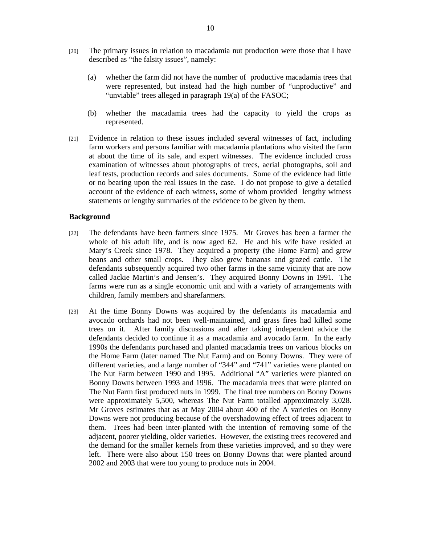- [20] The primary issues in relation to macadamia nut production were those that I have described as "the falsity issues", namely:
	- (a) whether the farm did not have the number of productive macadamia trees that were represented, but instead had the high number of "unproductive" and "unviable" trees alleged in paragraph 19(a) of the FASOC;
	- (b) whether the macadamia trees had the capacity to yield the crops as represented.
- [21] Evidence in relation to these issues included several witnesses of fact, including farm workers and persons familiar with macadamia plantations who visited the farm at about the time of its sale, and expert witnesses. The evidence included cross examination of witnesses about photographs of trees, aerial photographs, soil and leaf tests, production records and sales documents. Some of the evidence had little or no bearing upon the real issues in the case. I do not propose to give a detailed account of the evidence of each witness, some of whom provided lengthy witness statements or lengthy summaries of the evidence to be given by them.

#### **Background**

- [22] The defendants have been farmers since 1975. Mr Groves has been a farmer the whole of his adult life, and is now aged 62. He and his wife have resided at Mary's Creek since 1978. They acquired a property (the Home Farm) and grew beans and other small crops. They also grew bananas and grazed cattle. The defendants subsequently acquired two other farms in the same vicinity that are now called Jackie Martin's and Jensen's. They acquired Bonny Downs in 1991. The farms were run as a single economic unit and with a variety of arrangements with children, family members and sharefarmers.
- [23] At the time Bonny Downs was acquired by the defendants its macadamia and avocado orchards had not been well-maintained, and grass fires had killed some trees on it. After family discussions and after taking independent advice the defendants decided to continue it as a macadamia and avocado farm. In the early 1990s the defendants purchased and planted macadamia trees on various blocks on the Home Farm (later named The Nut Farm) and on Bonny Downs. They were of different varieties, and a large number of "344" and "741" varieties were planted on The Nut Farm between 1990 and 1995. Additional "A" varieties were planted on Bonny Downs between 1993 and 1996. The macadamia trees that were planted on The Nut Farm first produced nuts in 1999. The final tree numbers on Bonny Downs were approximately 5,500, whereas The Nut Farm totalled approximately 3,028. Mr Groves estimates that as at May 2004 about 400 of the A varieties on Bonny Downs were not producing because of the overshadowing effect of trees adjacent to them. Trees had been inter-planted with the intention of removing some of the adjacent, poorer yielding, older varieties. However, the existing trees recovered and the demand for the smaller kernels from these varieties improved, and so they were left. There were also about 150 trees on Bonny Downs that were planted around 2002 and 2003 that were too young to produce nuts in 2004.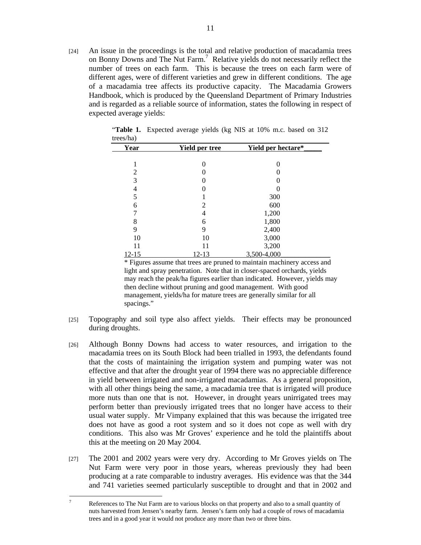[24] An issue in the proceedings is the total and relative production of macadamia trees on Bonny Downs and The Nut Farm.<sup>7</sup> Relative yields do not necessarily reflect the number of trees on each farm. This is because the trees on each farm were of different ages, were of different varieties and grew in different conditions. The age of a macadamia tree affects its productive capacity. The Macadamia Growers Handbook, which is produced by the Queensland Department of Primary Industries and is regarded as a reliable source of information, states the following in respect of expected average yields:

| Year           | <b>Yield per tree</b> | Yield per hectare* |  |
|----------------|-----------------------|--------------------|--|
|                |                       |                    |  |
|                | 0                     | 0                  |  |
| $\overline{c}$ |                       |                    |  |
| 3              |                       |                    |  |
| 4              |                       |                    |  |
| 5              |                       | 300                |  |
| 6              | 2                     | 600                |  |
|                |                       | 1,200              |  |
| 8              | 6                     | 1,800              |  |
| 9              | 9                     | 2,400              |  |
| 10             | 10                    | 3,000              |  |
| 11             | 11                    | 3,200              |  |
| 12-15          | 12-13                 | 3,500-4,000        |  |

"**Table 1.** Expected average yields (kg NIS at 10% m.c. based on 312 trees/ha)

 \* Figures assume that trees are pruned to maintain machinery access and light and spray penetration. Note that in closer-spaced orchards, yields may reach the peak/ha figures earlier than indicated. However, yields may then decline without pruning and good management. With good management, yields/ha for mature trees are generally similar for all spacings."

- [25] Topography and soil type also affect yields. Their effects may be pronounced during droughts.
- [26] Although Bonny Downs had access to water resources, and irrigation to the macadamia trees on its South Block had been trialled in 1993, the defendants found that the costs of maintaining the irrigation system and pumping water was not effective and that after the drought year of 1994 there was no appreciable difference in yield between irrigated and non-irrigated macadamias. As a general proposition, with all other things being the same, a macadamia tree that is irrigated will produce more nuts than one that is not. However, in drought years unirrigated trees may perform better than previously irrigated trees that no longer have access to their usual water supply. Mr Vimpany explained that this was because the irrigated tree does not have as good a root system and so it does not cope as well with dry conditions. This also was Mr Groves' experience and he told the plaintiffs about this at the meeting on 20 May 2004.
- [27] The 2001 and 2002 years were very dry. According to Mr Groves yields on The Nut Farm were very poor in those years, whereas previously they had been producing at a rate comparable to industry averages. His evidence was that the 344 and 741 varieties seemed particularly susceptible to drought and that in 2002 and

<sup>-&</sup>lt;br>7 References to The Nut Farm are to various blocks on that property and also to a small quantity of nuts harvested from Jensen's nearby farm. Jensen's farm only had a couple of rows of macadamia trees and in a good year it would not produce any more than two or three bins.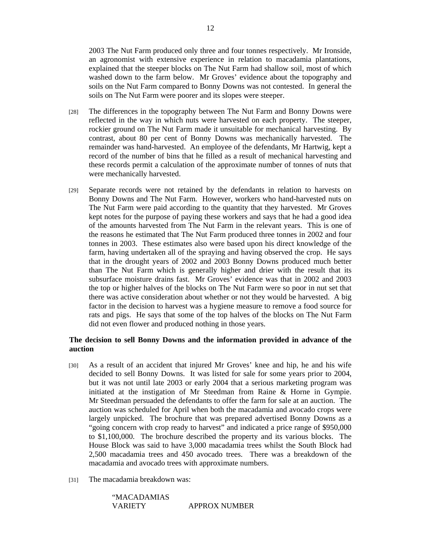2003 The Nut Farm produced only three and four tonnes respectively. Mr Ironside, an agronomist with extensive experience in relation to macadamia plantations, explained that the steeper blocks on The Nut Farm had shallow soil, most of which washed down to the farm below. Mr Groves' evidence about the topography and soils on the Nut Farm compared to Bonny Downs was not contested. In general the soils on The Nut Farm were poorer and its slopes were steeper.

- [28] The differences in the topography between The Nut Farm and Bonny Downs were reflected in the way in which nuts were harvested on each property. The steeper, rockier ground on The Nut Farm made it unsuitable for mechanical harvesting. By contrast, about 80 per cent of Bonny Downs was mechanically harvested. The remainder was hand-harvested. An employee of the defendants, Mr Hartwig, kept a record of the number of bins that he filled as a result of mechanical harvesting and these records permit a calculation of the approximate number of tonnes of nuts that were mechanically harvested.
- [29] Separate records were not retained by the defendants in relation to harvests on Bonny Downs and The Nut Farm. However, workers who hand-harvested nuts on The Nut Farm were paid according to the quantity that they harvested. Mr Groves kept notes for the purpose of paying these workers and says that he had a good idea of the amounts harvested from The Nut Farm in the relevant years. This is one of the reasons he estimated that The Nut Farm produced three tonnes in 2002 and four tonnes in 2003. These estimates also were based upon his direct knowledge of the farm, having undertaken all of the spraying and having observed the crop. He says that in the drought years of 2002 and 2003 Bonny Downs produced much better than The Nut Farm which is generally higher and drier with the result that its subsurface moisture drains fast. Mr Groves' evidence was that in 2002 and 2003 the top or higher halves of the blocks on The Nut Farm were so poor in nut set that there was active consideration about whether or not they would be harvested. A big factor in the decision to harvest was a hygiene measure to remove a food source for rats and pigs. He says that some of the top halves of the blocks on The Nut Farm did not even flower and produced nothing in those years.

## **The decision to sell Bonny Downs and the information provided in advance of the auction**

- [30] As a result of an accident that injured Mr Groves' knee and hip, he and his wife decided to sell Bonny Downs. It was listed for sale for some years prior to 2004, but it was not until late 2003 or early 2004 that a serious marketing program was initiated at the instigation of Mr Steedman from Raine & Horne in Gympie. Mr Steedman persuaded the defendants to offer the farm for sale at an auction. The auction was scheduled for April when both the macadamia and avocado crops were largely unpicked. The brochure that was prepared advertised Bonny Downs as a "going concern with crop ready to harvest" and indicated a price range of \$950,000 to \$1,100,000. The brochure described the property and its various blocks. The House Block was said to have 3,000 macadamia trees whilst the South Block had 2,500 macadamia trees and 450 avocado trees. There was a breakdown of the macadamia and avocado trees with approximate numbers.
- [31] The macadamia breakdown was:

"MACADAMIAS VARIETY APPROX NUMBER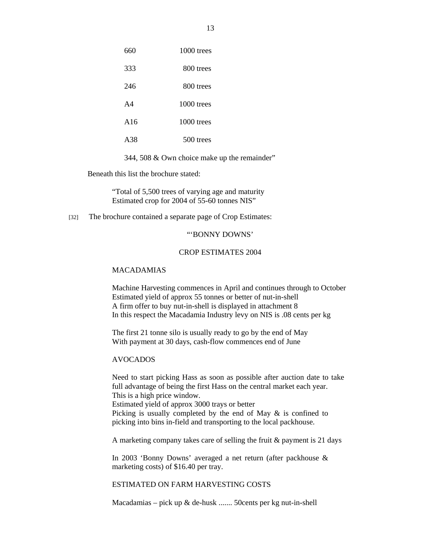| 660 | $1000$ trees |
|-----|--------------|
| 333 | 800 trees    |
| 246 | 800 trees    |
| A4  | $1000$ trees |
| A16 | 1000 trees   |
| A38 | 500 trees    |

344, 508 & Own choice make up the remainder"

Beneath this list the brochure stated:

"Total of 5,500 trees of varying age and maturity Estimated crop for 2004 of 55-60 tonnes NIS"

[32] The brochure contained a separate page of Crop Estimates:

#### "'BONNY DOWNS'

#### CROP ESTIMATES 2004

#### MACADAMIAS

Machine Harvesting commences in April and continues through to October Estimated yield of approx 55 tonnes or better of nut-in-shell A firm offer to buy nut-in-shell is displayed in attachment 8 In this respect the Macadamia Industry levy on NIS is .08 cents per kg

The first 21 tonne silo is usually ready to go by the end of May With payment at 30 days, cash-flow commences end of June

#### AVOCADOS

Need to start picking Hass as soon as possible after auction date to take full advantage of being the first Hass on the central market each year. This is a high price window. Estimated yield of approx 3000 trays or better Picking is usually completed by the end of May & is confined to picking into bins in-field and transporting to the local packhouse.

A marketing company takes care of selling the fruit & payment is 21 days

In 2003 'Bonny Downs' averaged a net return (after packhouse & marketing costs) of \$16.40 per tray.

ESTIMATED ON FARM HARVESTING COSTS

Macadamias – pick up & de-husk ....... 50cents per kg nut-in-shell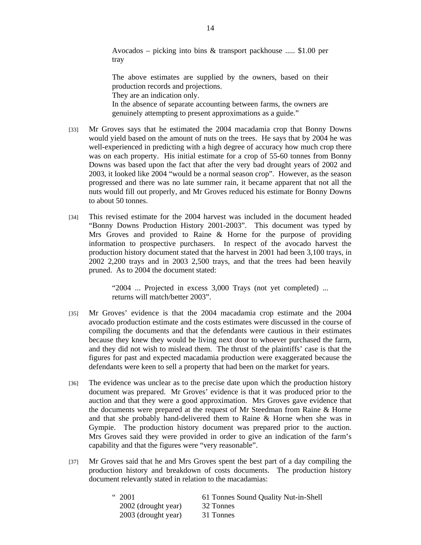Avocados – picking into bins & transport packhouse ..... \$1.00 per tray

The above estimates are supplied by the owners, based on their production records and projections. They are an indication only. In the absence of separate accounting between farms, the owners are genuinely attempting to present approximations as a guide."

- [33] Mr Groves says that he estimated the 2004 macadamia crop that Bonny Downs would yield based on the amount of nuts on the trees. He says that by 2004 he was well-experienced in predicting with a high degree of accuracy how much crop there was on each property. His initial estimate for a crop of 55-60 tonnes from Bonny Downs was based upon the fact that after the very bad drought years of 2002 and 2003, it looked like 2004 "would be a normal season crop". However, as the season progressed and there was no late summer rain, it became apparent that not all the nuts would fill out properly, and Mr Groves reduced his estimate for Bonny Downs to about 50 tonnes.
- [34] This revised estimate for the 2004 harvest was included in the document headed "Bonny Downs Production History 2001-2003". This document was typed by Mrs Groves and provided to Raine & Horne for the purpose of providing information to prospective purchasers. In respect of the avocado harvest the production history document stated that the harvest in 2001 had been 3,100 trays, in 2002 2,200 trays and in 2003 2,500 trays, and that the trees had been heavily pruned. As to 2004 the document stated:

"2004 ... Projected in excess 3,000 Trays (not yet completed) ... returns will match/better 2003".

- [35] Mr Groves' evidence is that the 2004 macadamia crop estimate and the 2004 avocado production estimate and the costs estimates were discussed in the course of compiling the documents and that the defendants were cautious in their estimates because they knew they would be living next door to whoever purchased the farm, and they did not wish to mislead them. The thrust of the plaintiffs' case is that the figures for past and expected macadamia production were exaggerated because the defendants were keen to sell a property that had been on the market for years.
- [36] The evidence was unclear as to the precise date upon which the production history document was prepared. Mr Groves' evidence is that it was produced prior to the auction and that they were a good approximation. Mrs Groves gave evidence that the documents were prepared at the request of Mr Steedman from Raine & Horne and that she probably hand-delivered them to Raine & Horne when she was in Gympie. The production history document was prepared prior to the auction. Mrs Groves said they were provided in order to give an indication of the farm's capability and that the figures were "very reasonable".
- [37] Mr Groves said that he and Mrs Groves spent the best part of a day compiling the production history and breakdown of costs documents. The production history document relevantly stated in relation to the macadamias:

| "2001               | 61 Tonnes Sound Quality Nut-in-Shell |
|---------------------|--------------------------------------|
| 2002 (drought year) | 32 Tonnes                            |
| 2003 (drought year) | 31 Tonnes                            |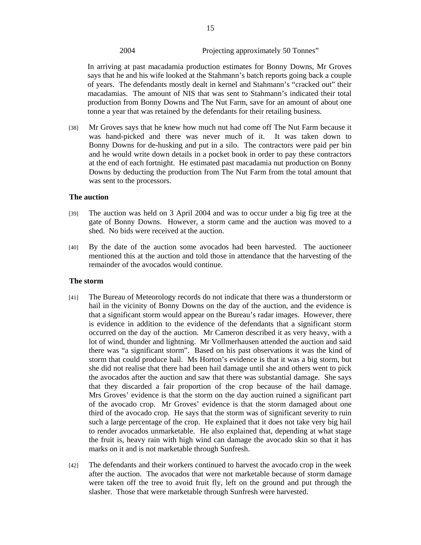## 2004 Projecting approximately 50 Tonnes"

In arriving at past macadamia production estimates for Bonny Downs, Mr Groves says that he and his wife looked at the Stahmann's batch reports going back a couple of years. The defendants mostly dealt in kernel and Stahmann's "cracked out" their macadamias. The amount of NIS that was sent to Stahmann's indicated their total production from Bonny Downs and The Nut Farm, save for an amount of about one tonne a year that was retained by the defendants for their retailing business.

[38] Mr Groves says that he knew how much nut had come off The Nut Farm because it was hand-picked and there was never much of it. It was taken down to Bonny Downs for de-husking and put in a silo. The contractors were paid per bin and he would write down details in a pocket book in order to pay these contractors at the end of each fortnight. He estimated past macadamia nut production on Bonny Downs by deducting the production from The Nut Farm from the total amount that was sent to the processors.

#### **The auction**

- [39] The auction was held on 3 April 2004 and was to occur under a big fig tree at the gate of Bonny Downs. However, a storm came and the auction was moved to a shed. No bids were received at the auction.
- [40] By the date of the auction some avocados had been harvested. The auctioneer mentioned this at the auction and told those in attendance that the harvesting of the remainder of the avocados would continue.

#### **The storm**

- [41] The Bureau of Meteorology records do not indicate that there was a thunderstorm or hail in the vicinity of Bonny Downs on the day of the auction, and the evidence is that a significant storm would appear on the Bureau's radar images. However, there is evidence in addition to the evidence of the defendants that a significant storm occurred on the day of the auction. Mr Cameron described it as very heavy, with a lot of wind, thunder and lightning. Mr Vollmerhausen attended the auction and said there was "a significant storm". Based on his past observations it was the kind of storm that could produce hail. Ms Horton's evidence is that it was a big storm, but she did not realise that there had been hail damage until she and others went to pick the avocados after the auction and saw that there was substantial damage. She says that they discarded a fair proportion of the crop because of the hail damage. Mrs Groves' evidence is that the storm on the day auction ruined a significant part of the avocado crop. Mr Groves' evidence is that the storm damaged about one third of the avocado crop. He says that the storm was of significant severity to ruin such a large percentage of the crop. He explained that it does not take very big hail to render avocados unmarketable. He also explained that, depending at what stage the fruit is, heavy rain with high wind can damage the avocado skin so that it has marks on it and is not marketable through Sunfresh.
- [42] The defendants and their workers continued to harvest the avocado crop in the week after the auction. The avocados that were not marketable because of storm damage were taken off the tree to avoid fruit fly, left on the ground and put through the slasher. Those that were marketable through Sunfresh were harvested.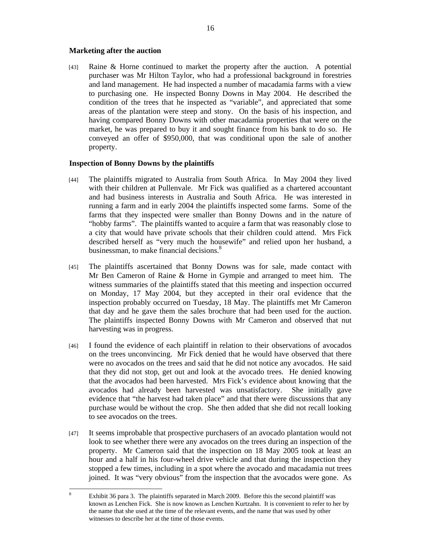#### **Marketing after the auction**

[43] Raine & Horne continued to market the property after the auction. A potential purchaser was Mr Hilton Taylor, who had a professional background in forestries and land management. He had inspected a number of macadamia farms with a view to purchasing one. He inspected Bonny Downs in May 2004. He described the condition of the trees that he inspected as "variable", and appreciated that some areas of the plantation were steep and stony. On the basis of his inspection, and having compared Bonny Downs with other macadamia properties that were on the market, he was prepared to buy it and sought finance from his bank to do so. He conveyed an offer of \$950,000, that was conditional upon the sale of another property.

## **Inspection of Bonny Downs by the plaintiffs**

- [44] The plaintiffs migrated to Australia from South Africa. In May 2004 they lived with their children at Pullenvale. Mr Fick was qualified as a chartered accountant and had business interests in Australia and South Africa. He was interested in running a farm and in early 2004 the plaintiffs inspected some farms. Some of the farms that they inspected were smaller than Bonny Downs and in the nature of "hobby farms". The plaintiffs wanted to acquire a farm that was reasonably close to a city that would have private schools that their children could attend. Mrs Fick described herself as "very much the housewife" and relied upon her husband, a businessman, to make financial decisions.<sup>8</sup>
- [45] The plaintiffs ascertained that Bonny Downs was for sale, made contact with Mr Ben Cameron of Raine & Horne in Gympie and arranged to meet him. The witness summaries of the plaintiffs stated that this meeting and inspection occurred on Monday, 17 May 2004, but they accepted in their oral evidence that the inspection probably occurred on Tuesday, 18 May. The plaintiffs met Mr Cameron that day and he gave them the sales brochure that had been used for the auction. The plaintiffs inspected Bonny Downs with Mr Cameron and observed that nut harvesting was in progress.
- [46] I found the evidence of each plaintiff in relation to their observations of avocados on the trees unconvincing. Mr Fick denied that he would have observed that there were no avocados on the trees and said that he did not notice any avocados. He said that they did not stop, get out and look at the avocado trees. He denied knowing that the avocados had been harvested. Mrs Fick's evidence about knowing that the avocados had already been harvested was unsatisfactory. She initially gave evidence that "the harvest had taken place" and that there were discussions that any purchase would be without the crop. She then added that she did not recall looking to see avocados on the trees.
- [47] It seems improbable that prospective purchasers of an avocado plantation would not look to see whether there were any avocados on the trees during an inspection of the property. Mr Cameron said that the inspection on 18 May 2005 took at least an hour and a half in his four-wheel drive vehicle and that during the inspection they stopped a few times, including in a spot where the avocado and macadamia nut trees joined. It was "very obvious" from the inspection that the avocados were gone. As

 8 Exhibit 36 para 3. The plaintiffs separated in March 2009. Before this the second plaintiff was known as Lenchen Fick. She is now known as Lenchen Kurtzahn. It is convenient to refer to her by the name that she used at the time of the relevant events, and the name that was used by other witnesses to describe her at the time of those events.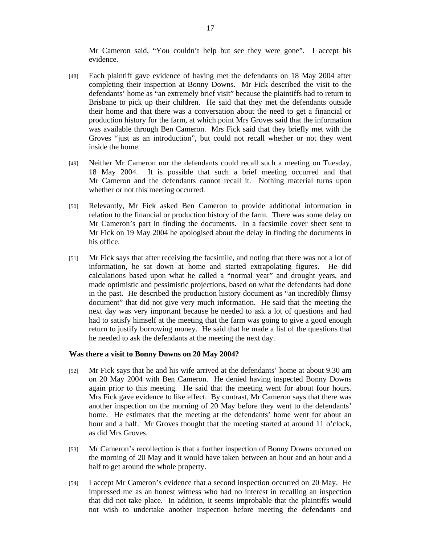Mr Cameron said, "You couldn't help but see they were gone". I accept his evidence.

- [48] Each plaintiff gave evidence of having met the defendants on 18 May 2004 after completing their inspection at Bonny Downs. Mr Fick described the visit to the defendants' home as "an extremely brief visit" because the plaintiffs had to return to Brisbane to pick up their children. He said that they met the defendants outside their home and that there was a conversation about the need to get a financial or production history for the farm, at which point Mrs Groves said that the information was available through Ben Cameron. Mrs Fick said that they briefly met with the Groves "just as an introduction", but could not recall whether or not they went inside the home.
- [49] Neither Mr Cameron nor the defendants could recall such a meeting on Tuesday, 18 May 2004. It is possible that such a brief meeting occurred and that Mr Cameron and the defendants cannot recall it. Nothing material turns upon whether or not this meeting occurred.
- [50] Relevantly, Mr Fick asked Ben Cameron to provide additional information in relation to the financial or production history of the farm. There was some delay on Mr Cameron's part in finding the documents. In a facsimile cover sheet sent to Mr Fick on 19 May 2004 he apologised about the delay in finding the documents in his office.
- [51] Mr Fick says that after receiving the facsimile, and noting that there was not a lot of information, he sat down at home and started extrapolating figures. He did calculations based upon what he called a "normal year" and drought years, and made optimistic and pessimistic projections, based on what the defendants had done in the past. He described the production history document as "an incredibly flimsy document" that did not give very much information. He said that the meeting the next day was very important because he needed to ask a lot of questions and had had to satisfy himself at the meeting that the farm was going to give a good enough return to justify borrowing money. He said that he made a list of the questions that he needed to ask the defendants at the meeting the next day.

#### **Was there a visit to Bonny Downs on 20 May 2004?**

- [52] Mr Fick says that he and his wife arrived at the defendants' home at about 9.30 am on 20 May 2004 with Ben Cameron. He denied having inspected Bonny Downs again prior to this meeting. He said that the meeting went for about four hours. Mrs Fick gave evidence to like effect. By contrast, Mr Cameron says that there was another inspection on the morning of 20 May before they went to the defendants' home. He estimates that the meeting at the defendants' home went for about an hour and a half. Mr Groves thought that the meeting started at around 11 o'clock, as did Mrs Groves.
- [53] Mr Cameron's recollection is that a further inspection of Bonny Downs occurred on the morning of 20 May and it would have taken between an hour and an hour and a half to get around the whole property.
- [54] I accept Mr Cameron's evidence that a second inspection occurred on 20 May. He impressed me as an honest witness who had no interest in recalling an inspection that did not take place. In addition, it seems improbable that the plaintiffs would not wish to undertake another inspection before meeting the defendants and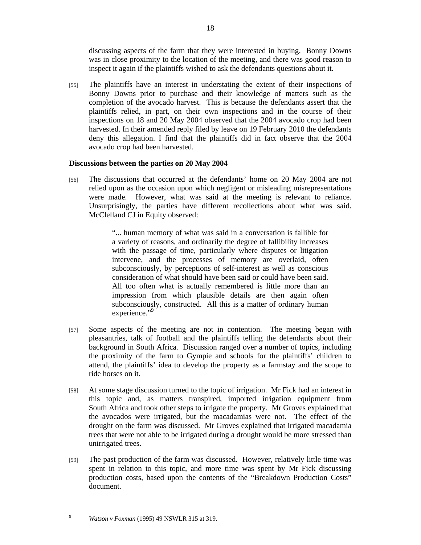discussing aspects of the farm that they were interested in buying. Bonny Downs was in close proximity to the location of the meeting, and there was good reason to inspect it again if the plaintiffs wished to ask the defendants questions about it.

[55] The plaintiffs have an interest in understating the extent of their inspections of Bonny Downs prior to purchase and their knowledge of matters such as the completion of the avocado harvest. This is because the defendants assert that the plaintiffs relied, in part, on their own inspections and in the course of their inspections on 18 and 20 May 2004 observed that the 2004 avocado crop had been harvested. In their amended reply filed by leave on 19 February 2010 the defendants deny this allegation. I find that the plaintiffs did in fact observe that the 2004 avocado crop had been harvested.

## **Discussions between the parties on 20 May 2004**

[56] The discussions that occurred at the defendants' home on 20 May 2004 are not relied upon as the occasion upon which negligent or misleading misrepresentations were made. However, what was said at the meeting is relevant to reliance. Unsurprisingly, the parties have different recollections about what was said. McClelland CJ in Equity observed:

> "... human memory of what was said in a conversation is fallible for a variety of reasons, and ordinarily the degree of fallibility increases with the passage of time, particularly where disputes or litigation intervene, and the processes of memory are overlaid, often subconsciously, by perceptions of self-interest as well as conscious consideration of what should have been said or could have been said. All too often what is actually remembered is little more than an impression from which plausible details are then again often subconsciously, constructed. All this is a matter of ordinary human experience."<sup>9</sup>

- [57] Some aspects of the meeting are not in contention. The meeting began with pleasantries, talk of football and the plaintiffs telling the defendants about their background in South Africa. Discussion ranged over a number of topics, including the proximity of the farm to Gympie and schools for the plaintiffs' children to attend, the plaintiffs' idea to develop the property as a farmstay and the scope to ride horses on it.
- [58] At some stage discussion turned to the topic of irrigation. Mr Fick had an interest in this topic and, as matters transpired, imported irrigation equipment from South Africa and took other steps to irrigate the property. Mr Groves explained that the avocados were irrigated, but the macadamias were not. The effect of the drought on the farm was discussed. Mr Groves explained that irrigated macadamia trees that were not able to be irrigated during a drought would be more stressed than unirrigated trees.
- [59] The past production of the farm was discussed. However, relatively little time was spent in relation to this topic, and more time was spent by Mr Fick discussing production costs, based upon the contents of the "Breakdown Production Costs" document.

-<br>9

*Watson v Foxman* (1995) 49 NSWLR 315 at 319.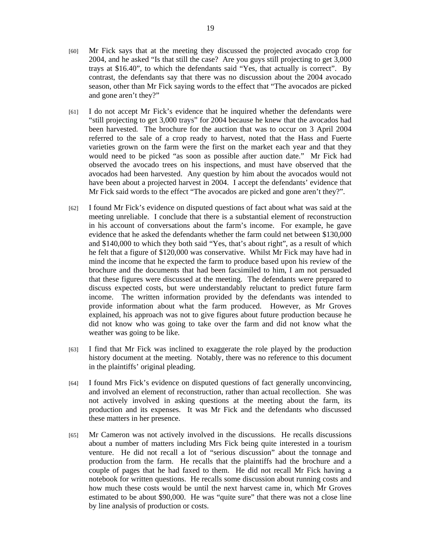- [60] Mr Fick says that at the meeting they discussed the projected avocado crop for 2004, and he asked "Is that still the case? Are you guys still projecting to get 3,000 trays at \$16.40", to which the defendants said "Yes, that actually is correct". By contrast, the defendants say that there was no discussion about the 2004 avocado season, other than Mr Fick saying words to the effect that "The avocados are picked and gone aren't they?"
- [61] I do not accept Mr Fick's evidence that he inquired whether the defendants were "still projecting to get 3,000 trays" for 2004 because he knew that the avocados had been harvested. The brochure for the auction that was to occur on 3 April 2004 referred to the sale of a crop ready to harvest, noted that the Hass and Fuerte varieties grown on the farm were the first on the market each year and that they would need to be picked "as soon as possible after auction date." Mr Fick had observed the avocado trees on his inspections, and must have observed that the avocados had been harvested. Any question by him about the avocados would not have been about a projected harvest in 2004. I accept the defendants' evidence that Mr Fick said words to the effect "The avocados are picked and gone aren't they?".
- [62] I found Mr Fick's evidence on disputed questions of fact about what was said at the meeting unreliable. I conclude that there is a substantial element of reconstruction in his account of conversations about the farm's income. For example, he gave evidence that he asked the defendants whether the farm could net between \$130,000 and \$140,000 to which they both said "Yes, that's about right", as a result of which he felt that a figure of \$120,000 was conservative. Whilst Mr Fick may have had in mind the income that he expected the farm to produce based upon his review of the brochure and the documents that had been facsimiled to him, I am not persuaded that these figures were discussed at the meeting. The defendants were prepared to discuss expected costs, but were understandably reluctant to predict future farm income. The written information provided by the defendants was intended to provide information about what the farm produced. However, as Mr Groves explained, his approach was not to give figures about future production because he did not know who was going to take over the farm and did not know what the weather was going to be like.
- [63] I find that Mr Fick was inclined to exaggerate the role played by the production history document at the meeting. Notably, there was no reference to this document in the plaintiffs' original pleading.
- [64] I found Mrs Fick's evidence on disputed questions of fact generally unconvincing, and involved an element of reconstruction, rather than actual recollection. She was not actively involved in asking questions at the meeting about the farm, its production and its expenses. It was Mr Fick and the defendants who discussed these matters in her presence.
- [65] Mr Cameron was not actively involved in the discussions. He recalls discussions about a number of matters including Mrs Fick being quite interested in a tourism venture. He did not recall a lot of "serious discussion" about the tonnage and production from the farm. He recalls that the plaintiffs had the brochure and a couple of pages that he had faxed to them. He did not recall Mr Fick having a notebook for written questions. He recalls some discussion about running costs and how much these costs would be until the next harvest came in, which Mr Groves estimated to be about \$90,000. He was "quite sure" that there was not a close line by line analysis of production or costs.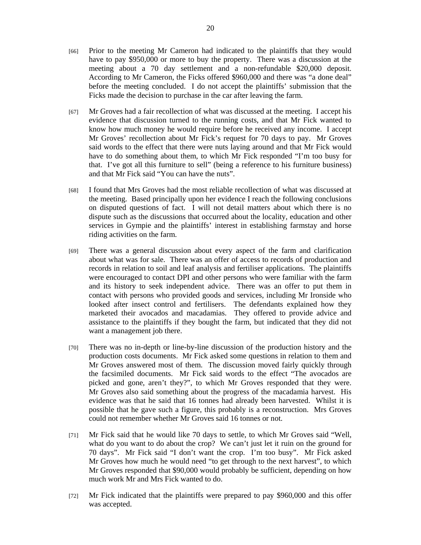- [66] Prior to the meeting Mr Cameron had indicated to the plaintiffs that they would have to pay \$950,000 or more to buy the property. There was a discussion at the meeting about a 70 day settlement and a non-refundable \$20,000 deposit. According to Mr Cameron, the Ficks offered \$960,000 and there was "a done deal" before the meeting concluded. I do not accept the plaintiffs' submission that the Ficks made the decision to purchase in the car after leaving the farm.
- [67] Mr Groves had a fair recollection of what was discussed at the meeting. I accept his evidence that discussion turned to the running costs, and that Mr Fick wanted to know how much money he would require before he received any income. I accept Mr Groves' recollection about Mr Fick's request for 70 days to pay. Mr Groves said words to the effect that there were nuts laying around and that Mr Fick would have to do something about them, to which Mr Fick responded "I'm too busy for that. I've got all this furniture to sell" (being a reference to his furniture business) and that Mr Fick said "You can have the nuts".
- [68] I found that Mrs Groves had the most reliable recollection of what was discussed at the meeting. Based principally upon her evidence I reach the following conclusions on disputed questions of fact. I will not detail matters about which there is no dispute such as the discussions that occurred about the locality, education and other services in Gympie and the plaintiffs' interest in establishing farmstay and horse riding activities on the farm.
- [69] There was a general discussion about every aspect of the farm and clarification about what was for sale. There was an offer of access to records of production and records in relation to soil and leaf analysis and fertiliser applications. The plaintiffs were encouraged to contact DPI and other persons who were familiar with the farm and its history to seek independent advice. There was an offer to put them in contact with persons who provided goods and services, including Mr Ironside who looked after insect control and fertilisers. The defendants explained how they marketed their avocados and macadamias. They offered to provide advice and assistance to the plaintiffs if they bought the farm, but indicated that they did not want a management job there.
- [70] There was no in-depth or line-by-line discussion of the production history and the production costs documents. Mr Fick asked some questions in relation to them and Mr Groves answered most of them. The discussion moved fairly quickly through the facsimiled documents. Mr Fick said words to the effect "The avocados are picked and gone, aren't they?", to which Mr Groves responded that they were. Mr Groves also said something about the progress of the macadamia harvest. His evidence was that he said that 16 tonnes had already been harvested. Whilst it is possible that he gave such a figure, this probably is a reconstruction. Mrs Groves could not remember whether Mr Groves said 16 tonnes or not.
- [71] Mr Fick said that he would like 70 days to settle, to which Mr Groves said "Well, what do you want to do about the crop? We can't just let it ruin on the ground for 70 days". Mr Fick said "I don't want the crop. I'm too busy". Mr Fick asked Mr Groves how much he would need "to get through to the next harvest", to which Mr Groves responded that \$90,000 would probably be sufficient, depending on how much work Mr and Mrs Fick wanted to do.
- [72] Mr Fick indicated that the plaintiffs were prepared to pay \$960,000 and this offer was accepted.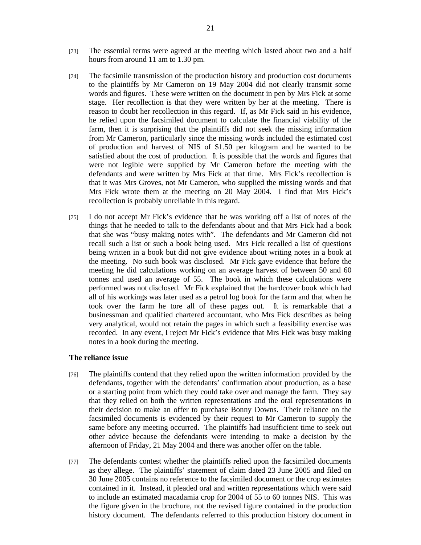- [73] The essential terms were agreed at the meeting which lasted about two and a half hours from around 11 am to 1.30 pm.
- [74] The facsimile transmission of the production history and production cost documents to the plaintiffs by Mr Cameron on 19 May 2004 did not clearly transmit some words and figures. These were written on the document in pen by Mrs Fick at some stage. Her recollection is that they were written by her at the meeting. There is reason to doubt her recollection in this regard. If, as Mr Fick said in his evidence, he relied upon the facsimiled document to calculate the financial viability of the farm, then it is surprising that the plaintiffs did not seek the missing information from Mr Cameron, particularly since the missing words included the estimated cost of production and harvest of NIS of \$1.50 per kilogram and he wanted to be satisfied about the cost of production. It is possible that the words and figures that were not legible were supplied by Mr Cameron before the meeting with the defendants and were written by Mrs Fick at that time. Mrs Fick's recollection is that it was Mrs Groves, not Mr Cameron, who supplied the missing words and that Mrs Fick wrote them at the meeting on 20 May 2004. I find that Mrs Fick's recollection is probably unreliable in this regard.
- [75] I do not accept Mr Fick's evidence that he was working off a list of notes of the things that he needed to talk to the defendants about and that Mrs Fick had a book that she was "busy making notes with". The defendants and Mr Cameron did not recall such a list or such a book being used. Mrs Fick recalled a list of questions being written in a book but did not give evidence about writing notes in a book at the meeting. No such book was disclosed. Mr Fick gave evidence that before the meeting he did calculations working on an average harvest of between 50 and 60 tonnes and used an average of 55. The book in which these calculations were performed was not disclosed. Mr Fick explained that the hardcover book which had all of his workings was later used as a petrol log book for the farm and that when he took over the farm he tore all of these pages out. It is remarkable that a businessman and qualified chartered accountant, who Mrs Fick describes as being very analytical, would not retain the pages in which such a feasibility exercise was recorded. In any event, I reject Mr Fick's evidence that Mrs Fick was busy making notes in a book during the meeting.

#### **The reliance issue**

- [76] The plaintiffs contend that they relied upon the written information provided by the defendants, together with the defendants' confirmation about production, as a base or a starting point from which they could take over and manage the farm. They say that they relied on both the written representations and the oral representations in their decision to make an offer to purchase Bonny Downs. Their reliance on the facsimiled documents is evidenced by their request to Mr Cameron to supply the same before any meeting occurred. The plaintiffs had insufficient time to seek out other advice because the defendants were intending to make a decision by the afternoon of Friday, 21 May 2004 and there was another offer on the table.
- [77] The defendants contest whether the plaintiffs relied upon the facsimiled documents as they allege. The plaintiffs' statement of claim dated 23 June 2005 and filed on 30 June 2005 contains no reference to the facsimiled document or the crop estimates contained in it. Instead, it pleaded oral and written representations which were said to include an estimated macadamia crop for 2004 of 55 to 60 tonnes NIS. This was the figure given in the brochure, not the revised figure contained in the production history document. The defendants referred to this production history document in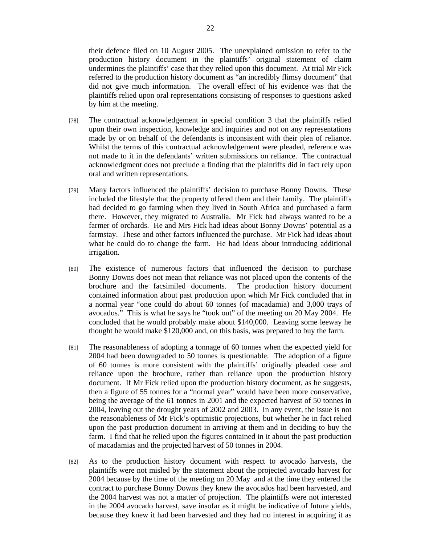their defence filed on 10 August 2005. The unexplained omission to refer to the production history document in the plaintiffs' original statement of claim undermines the plaintiffs' case that they relied upon this document. At trial Mr Fick referred to the production history document as "an incredibly flimsy document" that did not give much information. The overall effect of his evidence was that the plaintiffs relied upon oral representations consisting of responses to questions asked by him at the meeting.

- [78] The contractual acknowledgement in special condition 3 that the plaintiffs relied upon their own inspection, knowledge and inquiries and not on any representations made by or on behalf of the defendants is inconsistent with their plea of reliance. Whilst the terms of this contractual acknowledgement were pleaded, reference was not made to it in the defendants' written submissions on reliance. The contractual acknowledgment does not preclude a finding that the plaintiffs did in fact rely upon oral and written representations.
- [79] Many factors influenced the plaintiffs' decision to purchase Bonny Downs. These included the lifestyle that the property offered them and their family. The plaintiffs had decided to go farming when they lived in South Africa and purchased a farm there. However, they migrated to Australia. Mr Fick had always wanted to be a farmer of orchards. He and Mrs Fick had ideas about Bonny Downs' potential as a farmstay. These and other factors influenced the purchase. Mr Fick had ideas about what he could do to change the farm. He had ideas about introducing additional irrigation.
- [80] The existence of numerous factors that influenced the decision to purchase Bonny Downs does not mean that reliance was not placed upon the contents of the brochure and the facsimiled documents. The production history document contained information about past production upon which Mr Fick concluded that in a normal year "one could do about 60 tonnes (of macadamia) and 3,000 trays of avocados." This is what he says he "took out" of the meeting on 20 May 2004. He concluded that he would probably make about \$140,000. Leaving some leeway he thought he would make \$120,000 and, on this basis, was prepared to buy the farm.
- [81] The reasonableness of adopting a tonnage of 60 tonnes when the expected yield for 2004 had been downgraded to 50 tonnes is questionable. The adoption of a figure of 60 tonnes is more consistent with the plaintiffs' originally pleaded case and reliance upon the brochure, rather than reliance upon the production history document. If Mr Fick relied upon the production history document, as he suggests, then a figure of 55 tonnes for a "normal year" would have been more conservative, being the average of the 61 tonnes in 2001 and the expected harvest of 50 tonnes in 2004, leaving out the drought years of 2002 and 2003. In any event, the issue is not the reasonableness of Mr Fick's optimistic projections, but whether he in fact relied upon the past production document in arriving at them and in deciding to buy the farm. I find that he relied upon the figures contained in it about the past production of macadamias and the projected harvest of 50 tonnes in 2004.
- [82] As to the production history document with respect to avocado harvests, the plaintiffs were not misled by the statement about the projected avocado harvest for 2004 because by the time of the meeting on 20 May and at the time they entered the contract to purchase Bonny Downs they knew the avocados had been harvested, and the 2004 harvest was not a matter of projection. The plaintiffs were not interested in the 2004 avocado harvest, save insofar as it might be indicative of future yields, because they knew it had been harvested and they had no interest in acquiring it as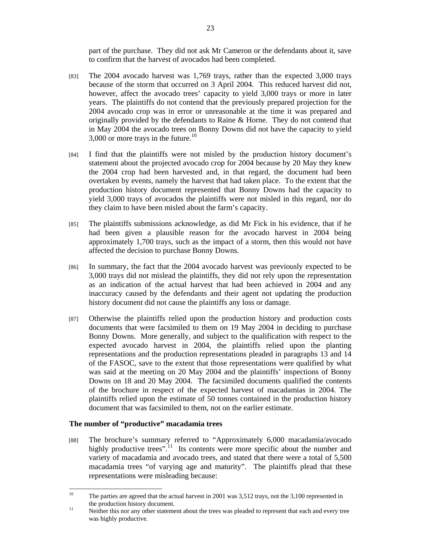part of the purchase. They did not ask Mr Cameron or the defendants about it, save to confirm that the harvest of avocados had been completed.

- [83] The 2004 avocado harvest was 1,769 trays, rather than the expected 3,000 trays because of the storm that occurred on 3 April 2004. This reduced harvest did not, however, affect the avocado trees' capacity to yield 3,000 trays or more in later years. The plaintiffs do not contend that the previously prepared projection for the 2004 avocado crop was in error or unreasonable at the time it was prepared and originally provided by the defendants to Raine & Horne. They do not contend that in May 2004 the avocado trees on Bonny Downs did not have the capacity to yield 3,000 or more trays in the future. $^{10}$
- [84] I find that the plaintiffs were not misled by the production history document's statement about the projected avocado crop for 2004 because by 20 May they knew the 2004 crop had been harvested and, in that regard, the document had been overtaken by events, namely the harvest that had taken place. To the extent that the production history document represented that Bonny Downs had the capacity to yield 3,000 trays of avocados the plaintiffs were not misled in this regard, nor do they claim to have been misled about the farm's capacity.
- [85] The plaintiffs submissions acknowledge, as did Mr Fick in his evidence, that if he had been given a plausible reason for the avocado harvest in 2004 being approximately 1,700 trays, such as the impact of a storm, then this would not have affected the decision to purchase Bonny Downs.
- [86] In summary, the fact that the 2004 avocado harvest was previously expected to be 3,000 trays did not mislead the plaintiffs, they did not rely upon the representation as an indication of the actual harvest that had been achieved in 2004 and any inaccuracy caused by the defendants and their agent not updating the production history document did not cause the plaintiffs any loss or damage.
- [87] Otherwise the plaintiffs relied upon the production history and production costs documents that were facsimiled to them on 19 May 2004 in deciding to purchase Bonny Downs. More generally, and subject to the qualification with respect to the expected avocado harvest in 2004, the plaintiffs relied upon the planting representations and the production representations pleaded in paragraphs 13 and 14 of the FASOC, save to the extent that those representations were qualified by what was said at the meeting on 20 May 2004 and the plaintiffs' inspections of Bonny Downs on 18 and 20 May 2004. The facsimiled documents qualified the contents of the brochure in respect of the expected harvest of macadamias in 2004. The plaintiffs relied upon the estimate of 50 tonnes contained in the production history document that was facsimiled to them, not on the earlier estimate.

## **The number of "productive" macadamia trees**

[88] The brochure's summary referred to "Approximately 6,000 macadamia/avocado highly productive trees".<sup>11</sup> Its contents were more specific about the number and variety of macadamia and avocado trees, and stated that there were a total of 5,500 macadamia trees "of varying age and maturity". The plaintiffs plead that these representations were misleading because:

<sup>10</sup> 10 The parties are agreed that the actual harvest in 2001 was 3,512 trays, not the 3,100 represented in the production history document.<br><sup>11</sup> Neither this nor any other statement about the trees was pleaded to represent that each and every tree

was highly productive.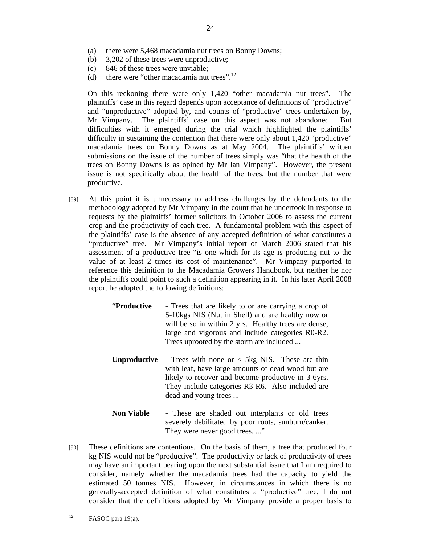- (b) 3,202 of these trees were unproductive;
- (c) 846 of these trees were unviable;
- (d) there were "other macadamia nut trees". $^{12}$

On this reckoning there were only 1,420 "other macadamia nut trees". The plaintiffs' case in this regard depends upon acceptance of definitions of "productive" and "unproductive" adopted by, and counts of "productive" trees undertaken by, Mr Vimpany. The plaintiffs' case on this aspect was not abandoned. But difficulties with it emerged during the trial which highlighted the plaintiffs' difficulty in sustaining the contention that there were only about 1,420 "productive" macadamia trees on Bonny Downs as at May 2004. The plaintiffs' written submissions on the issue of the number of trees simply was "that the health of the trees on Bonny Downs is as opined by Mr Ian Vimpany". However, the present issue is not specifically about the health of the trees, but the number that were productive.

- [89] At this point it is unnecessary to address challenges by the defendants to the methodology adopted by Mr Vimpany in the count that he undertook in response to requests by the plaintiffs' former solicitors in October 2006 to assess the current crop and the productivity of each tree. A fundamental problem with this aspect of the plaintiffs' case is the absence of any accepted definition of what constitutes a "productive" tree. Mr Vimpany's initial report of March 2006 stated that his assessment of a productive tree "is one which for its age is producing nut to the value of at least 2 times its cost of maintenance". Mr Vimpany purported to reference this definition to the Macadamia Growers Handbook, but neither he nor the plaintiffs could point to such a definition appearing in it. In his later April 2008 report he adopted the following definitions:
	- "**Productive**  Trees that are likely to or are carrying a crop of 5-10kgs NIS (Nut in Shell) and are healthy now or will be so in within 2 yrs. Healthy trees are dense, large and vigorous and include categories R0-R2. Trees uprooted by the storm are included ...
	- **Unproductive** Trees with none or < 5kg NIS. These are thin with leaf, have large amounts of dead wood but are likely to recover and become productive in 3-6yrs. They include categories R3-R6. Also included are dead and young trees ...
	- **Non Viable**  These are shaded out interplants or old trees severely debilitated by poor roots, sunburn/canker. They were never good trees. ..."
- [90] These definitions are contentious. On the basis of them, a tree that produced four kg NIS would not be "productive". The productivity or lack of productivity of trees may have an important bearing upon the next substantial issue that I am required to consider, namely whether the macadamia trees had the capacity to yield the estimated 50 tonnes NIS. However, in circumstances in which there is no generally-accepted definition of what constitutes a "productive" tree, I do not consider that the definitions adopted by Mr Vimpany provide a proper basis to

<sup>12</sup> FASOC para 19(a).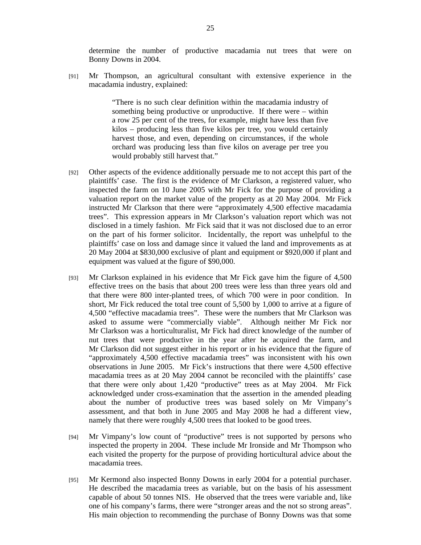determine the number of productive macadamia nut trees that were on Bonny Downs in 2004.

[91] Mr Thompson, an agricultural consultant with extensive experience in the macadamia industry, explained:

> "There is no such clear definition within the macadamia industry of something being productive or unproductive. If there were – within a row 25 per cent of the trees, for example, might have less than five kilos – producing less than five kilos per tree, you would certainly harvest those, and even, depending on circumstances, if the whole orchard was producing less than five kilos on average per tree you would probably still harvest that."

- [92] Other aspects of the evidence additionally persuade me to not accept this part of the plaintiffs' case. The first is the evidence of Mr Clarkson, a registered valuer, who inspected the farm on 10 June 2005 with Mr Fick for the purpose of providing a valuation report on the market value of the property as at 20 May 2004. Mr Fick instructed Mr Clarkson that there were "approximately 4,500 effective macadamia trees". This expression appears in Mr Clarkson's valuation report which was not disclosed in a timely fashion. Mr Fick said that it was not disclosed due to an error on the part of his former solicitor. Incidentally, the report was unhelpful to the plaintiffs' case on loss and damage since it valued the land and improvements as at 20 May 2004 at \$830,000 exclusive of plant and equipment or \$920,000 if plant and equipment was valued at the figure of \$90,000.
- [93] Mr Clarkson explained in his evidence that Mr Fick gave him the figure of 4,500 effective trees on the basis that about 200 trees were less than three years old and that there were 800 inter-planted trees, of which 700 were in poor condition. In short, Mr Fick reduced the total tree count of 5,500 by 1,000 to arrive at a figure of 4,500 "effective macadamia trees". These were the numbers that Mr Clarkson was asked to assume were "commercially viable". Although neither Mr Fick nor Mr Clarkson was a horticulturalist, Mr Fick had direct knowledge of the number of nut trees that were productive in the year after he acquired the farm, and Mr Clarkson did not suggest either in his report or in his evidence that the figure of "approximately 4,500 effective macadamia trees" was inconsistent with his own observations in June 2005. Mr Fick's instructions that there were 4,500 effective macadamia trees as at 20 May 2004 cannot be reconciled with the plaintiffs' case that there were only about 1,420 "productive" trees as at May 2004. Mr Fick acknowledged under cross-examination that the assertion in the amended pleading about the number of productive trees was based solely on Mr Vimpany's assessment, and that both in June 2005 and May 2008 he had a different view, namely that there were roughly 4,500 trees that looked to be good trees.
- [94] Mr Vimpany's low count of "productive" trees is not supported by persons who inspected the property in 2004. These include Mr Ironside and Mr Thompson who each visited the property for the purpose of providing horticultural advice about the macadamia trees.
- [95] Mr Kermond also inspected Bonny Downs in early 2004 for a potential purchaser. He described the macadamia trees as variable, but on the basis of his assessment capable of about 50 tonnes NIS. He observed that the trees were variable and, like one of his company's farms, there were "stronger areas and the not so strong areas". His main objection to recommending the purchase of Bonny Downs was that some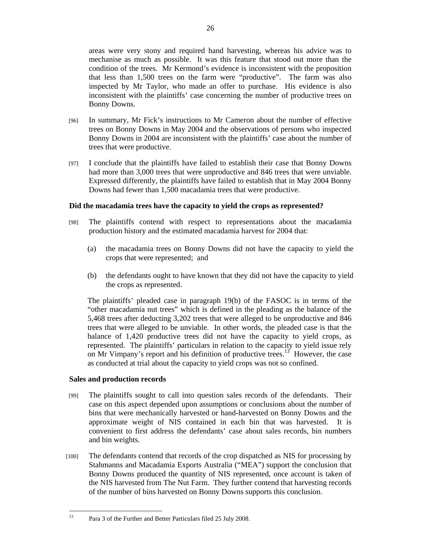areas were very stony and required hand harvesting, whereas his advice was to mechanise as much as possible. It was this feature that stood out more than the condition of the trees. Mr Kermond's evidence is inconsistent with the proposition that less than 1,500 trees on the farm were "productive". The farm was also inspected by Mr Taylor, who made an offer to purchase. His evidence is also inconsistent with the plaintiffs' case concerning the number of productive trees on Bonny Downs.

- [96] In summary, Mr Fick's instructions to Mr Cameron about the number of effective trees on Bonny Downs in May 2004 and the observations of persons who inspected Bonny Downs in 2004 are inconsistent with the plaintiffs' case about the number of trees that were productive.
- [97] I conclude that the plaintiffs have failed to establish their case that Bonny Downs had more than 3,000 trees that were unproductive and 846 trees that were unviable. Expressed differently, the plaintiffs have failed to establish that in May 2004 Bonny Downs had fewer than 1,500 macadamia trees that were productive.

## **Did the macadamia trees have the capacity to yield the crops as represented?**

- [98] The plaintiffs contend with respect to representations about the macadamia production history and the estimated macadamia harvest for 2004 that:
	- (a) the macadamia trees on Bonny Downs did not have the capacity to yield the crops that were represented; and
	- (b) the defendants ought to have known that they did not have the capacity to yield the crops as represented.

The plaintiffs' pleaded case in paragraph 19(b) of the FASOC is in terms of the "other macadamia nut trees" which is defined in the pleading as the balance of the 5,468 trees after deducting 3,202 trees that were alleged to be unproductive and 846 trees that were alleged to be unviable. In other words, the pleaded case is that the balance of 1,420 productive trees did not have the capacity to yield crops, as represented. The plaintiffs' particulars in relation to the capacity to yield issue rely on Mr Vimpany's report and his definition of productive trees.<sup>13</sup> However, the case as conducted at trial about the capacity to yield crops was not so confined.

#### **Sales and production records**

 $13$ 

- [99] The plaintiffs sought to call into question sales records of the defendants. Their case on this aspect depended upon assumptions or conclusions about the number of bins that were mechanically harvested or hand-harvested on Bonny Downs and the approximate weight of NIS contained in each bin that was harvested. It is convenient to first address the defendants' case about sales records, bin numbers and bin weights.
- [100] The defendants contend that records of the crop dispatched as NIS for processing by Stahmanns and Macadamia Exports Australia ("MEA") support the conclusion that Bonny Downs produced the quantity of NIS represented, once account is taken of the NIS harvested from The Nut Farm. They further contend that harvesting records of the number of bins harvested on Bonny Downs supports this conclusion.

<sup>13</sup> Para 3 of the Further and Better Particulars filed 25 July 2008.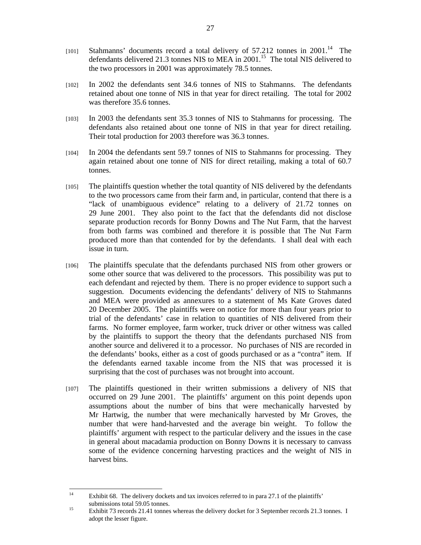- [101] Stahmanns' documents record a total delivery of  $57.212$  tonnes in  $2001$ .<sup>14</sup> The defendants delivered 21.3 tonnes NIS to MEA in 2001.<sup>15</sup> The total NIS delivered to the two processors in 2001 was approximately 78.5 tonnes.
- [102] In 2002 the defendants sent 34.6 tonnes of NIS to Stahmanns. The defendants retained about one tonne of NIS in that year for direct retailing. The total for 2002 was therefore 35.6 tonnes.
- [103] In 2003 the defendants sent 35.3 tonnes of NIS to Stahmanns for processing. The defendants also retained about one tonne of NIS in that year for direct retailing. Their total production for 2003 therefore was 36.3 tonnes.
- [104] In 2004 the defendants sent 59.7 tonnes of NIS to Stahmanns for processing. They again retained about one tonne of NIS for direct retailing, making a total of 60.7 tonnes.
- [105] The plaintiffs question whether the total quantity of NIS delivered by the defendants to the two processors came from their farm and, in particular, contend that there is a "lack of unambiguous evidence" relating to a delivery of 21.72 tonnes on 29 June 2001. They also point to the fact that the defendants did not disclose separate production records for Bonny Downs and The Nut Farm, that the harvest from both farms was combined and therefore it is possible that The Nut Farm produced more than that contended for by the defendants. I shall deal with each issue in turn.
- [106] The plaintiffs speculate that the defendants purchased NIS from other growers or some other source that was delivered to the processors. This possibility was put to each defendant and rejected by them. There is no proper evidence to support such a suggestion. Documents evidencing the defendants' delivery of NIS to Stahmanns and MEA were provided as annexures to a statement of Ms Kate Groves dated 20 December 2005. The plaintiffs were on notice for more than four years prior to trial of the defendants' case in relation to quantities of NIS delivered from their farms. No former employee, farm worker, truck driver or other witness was called by the plaintiffs to support the theory that the defendants purchased NIS from another source and delivered it to a processor. No purchases of NIS are recorded in the defendants' books, either as a cost of goods purchased or as a "contra" item. If the defendants earned taxable income from the NIS that was processed it is surprising that the cost of purchases was not brought into account.
- [107] The plaintiffs questioned in their written submissions a delivery of NIS that occurred on 29 June 2001. The plaintiffs' argument on this point depends upon assumptions about the number of bins that were mechanically harvested by Mr Hartwig, the number that were mechanically harvested by Mr Groves, the number that were hand-harvested and the average bin weight. To follow the plaintiffs' argument with respect to the particular delivery and the issues in the case in general about macadamia production on Bonny Downs it is necessary to canvass some of the evidence concerning harvesting practices and the weight of NIS in harvest bins.

 $14$ Exhibit 68. The delivery dockets and tax invoices referred to in para 27.1 of the plaintiffs' submissions total 59.05 tonnes.

<sup>&</sup>lt;sup>15</sup> Exhibit 73 records 21.41 tonnes whereas the delivery docket for 3 September records 21.3 tonnes. I adopt the lesser figure.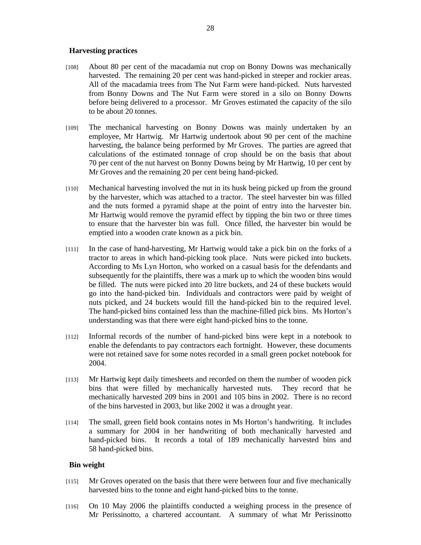#### **Harvesting practices**

- [108] About 80 per cent of the macadamia nut crop on Bonny Downs was mechanically harvested. The remaining 20 per cent was hand-picked in steeper and rockier areas. All of the macadamia trees from The Nut Farm were hand-picked.Nuts harvested from Bonny Downs and The Nut Farm were stored in a silo on Bonny Downs before being delivered to a processor. Mr Groves estimated the capacity of the silo to be about 20 tonnes.
- [109] The mechanical harvesting on Bonny Downs was mainly undertaken by an employee, Mr Hartwig. Mr Hartwig undertook about 90 per cent of the machine harvesting, the balance being performed by Mr Groves. The parties are agreed that calculations of the estimated tonnage of crop should be on the basis that about 70 per cent of the nut harvest on Bonny Downs being by Mr Hartwig, 10 per cent by Mr Groves and the remaining 20 per cent being hand-picked.
- [110] Mechanical harvesting involved the nut in its husk being picked up from the ground by the harvester, which was attached to a tractor. The steel harvester bin was filled and the nuts formed a pyramid shape at the point of entry into the harvester bin. Mr Hartwig would remove the pyramid effect by tipping the bin two or three times to ensure that the harvester bin was full. Once filled, the harvester bin would be emptied into a wooden crate known as a pick bin.
- [111] In the case of hand-harvesting, Mr Hartwig would take a pick bin on the forks of a tractor to areas in which hand-picking took place. Nuts were picked into buckets. According to Ms Lyn Horton, who worked on a casual basis for the defendants and subsequently for the plaintiffs, there was a mark up to which the wooden bins would be filled. The nuts were picked into 20 litre buckets, and 24 of these buckets would go into the hand-picked bin. Individuals and contractors were paid by weight of nuts picked, and 24 buckets would fill the hand-picked bin to the required level. The hand-picked bins contained less than the machine-filled pick bins. Ms Horton's understanding was that there were eight hand-picked bins to the tonne.
- [112] Informal records of the number of hand-picked bins were kept in a notebook to enable the defendants to pay contractors each fortnight. However, these documents were not retained save for some notes recorded in a small green pocket notebook for 2004.
- [113] Mr Hartwig kept daily timesheets and recorded on them the number of wooden pick bins that were filled by mechanically harvested nuts. They record that he mechanically harvested 209 bins in 2001 and 105 bins in 2002. There is no record of the bins harvested in 2003, but like 2002 it was a drought year.
- [114] The small, green field book contains notes in Ms Horton's handwriting. It includes a summary for 2004 in her handwriting of both mechanically harvested and hand-picked bins. It records a total of 189 mechanically harvested bins and 58 hand-picked bins.

#### **Bin weight**

- [115] Mr Groves operated on the basis that there were between four and five mechanically harvested bins to the tonne and eight hand-picked bins to the tonne.
- [116] On 10 May 2006 the plaintiffs conducted a weighing process in the presence of Mr Perissinotto, a chartered accountant. A summary of what Mr Perissinotto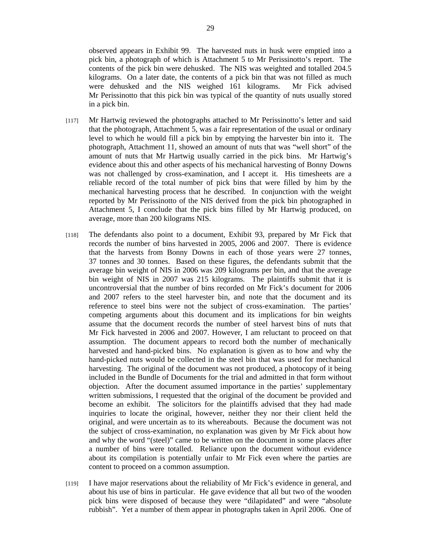observed appears in Exhibit 99. The harvested nuts in husk were emptied into a pick bin, a photograph of which is Attachment 5 to Mr Perissinotto's report. The contents of the pick bin were dehusked. The NIS was weighted and totalled 204.5 kilograms. On a later date, the contents of a pick bin that was not filled as much were dehusked and the NIS weighed 161 kilograms. Mr Fick advised Mr Perissinotto that this pick bin was typical of the quantity of nuts usually stored in a pick bin.

- [117] Mr Hartwig reviewed the photographs attached to Mr Perissinotto's letter and said that the photograph, Attachment 5, was a fair representation of the usual or ordinary level to which he would fill a pick bin by emptying the harvester bin into it. The photograph, Attachment 11, showed an amount of nuts that was "well short" of the amount of nuts that Mr Hartwig usually carried in the pick bins. Mr Hartwig's evidence about this and other aspects of his mechanical harvesting of Bonny Downs was not challenged by cross-examination, and I accept it. His timesheets are a reliable record of the total number of pick bins that were filled by him by the mechanical harvesting process that he described. In conjunction with the weight reported by Mr Perissinotto of the NIS derived from the pick bin photographed in Attachment 5, I conclude that the pick bins filled by Mr Hartwig produced, on average, more than 200 kilograms NIS.
- [118] The defendants also point to a document, Exhibit 93, prepared by Mr Fick that records the number of bins harvested in 2005, 2006 and 2007. There is evidence that the harvests from Bonny Downs in each of those years were 27 tonnes, 37 tonnes and 30 tonnes. Based on these figures, the defendants submit that the average bin weight of NIS in 2006 was 209 kilograms per bin, and that the average bin weight of NIS in 2007 was 215 kilograms. The plaintiffs submit that it is uncontroversial that the number of bins recorded on Mr Fick's document for 2006 and 2007 refers to the steel harvester bin, and note that the document and its reference to steel bins were not the subject of cross-examination. The parties' competing arguments about this document and its implications for bin weights assume that the document records the number of steel harvest bins of nuts that Mr Fick harvested in 2006 and 2007. However, I am reluctant to proceed on that assumption. The document appears to record both the number of mechanically harvested and hand-picked bins. No explanation is given as to how and why the hand-picked nuts would be collected in the steel bin that was used for mechanical harvesting. The original of the document was not produced, a photocopy of it being included in the Bundle of Documents for the trial and admitted in that form without objection. After the document assumed importance in the parties' supplementary written submissions, I requested that the original of the document be provided and become an exhibit. The solicitors for the plaintiffs advised that they had made inquiries to locate the original, however, neither they nor their client held the original, and were uncertain as to its whereabouts. Because the document was not the subject of cross-examination, no explanation was given by Mr Fick about how and why the word "(steel)" came to be written on the document in some places after a number of bins were totalled. Reliance upon the document without evidence about its compilation is potentially unfair to Mr Fick even where the parties are content to proceed on a common assumption.
- [119] I have major reservations about the reliability of Mr Fick's evidence in general, and about his use of bins in particular. He gave evidence that all but two of the wooden pick bins were disposed of because they were "dilapidated" and were "absolute rubbish". Yet a number of them appear in photographs taken in April 2006. One of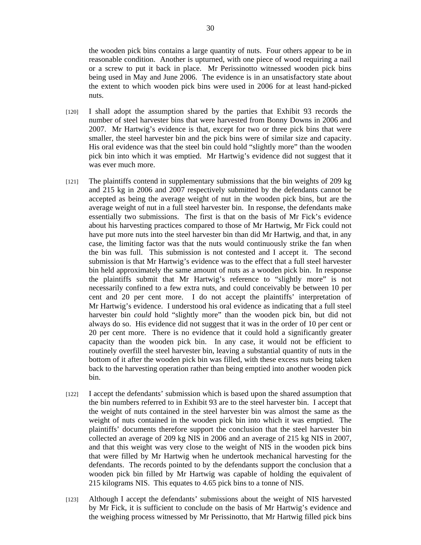the wooden pick bins contains a large quantity of nuts. Four others appear to be in reasonable condition. Another is upturned, with one piece of wood requiring a nail or a screw to put it back in place. Mr Perissinotto witnessed wooden pick bins being used in May and June 2006. The evidence is in an unsatisfactory state about the extent to which wooden pick bins were used in 2006 for at least hand-picked nuts.

- [120] I shall adopt the assumption shared by the parties that Exhibit 93 records the number of steel harvester bins that were harvested from Bonny Downs in 2006 and 2007. Mr Hartwig's evidence is that, except for two or three pick bins that were smaller, the steel harvester bin and the pick bins were of similar size and capacity. His oral evidence was that the steel bin could hold "slightly more" than the wooden pick bin into which it was emptied. Mr Hartwig's evidence did not suggest that it was ever much more.
- [121] The plaintiffs contend in supplementary submissions that the bin weights of 209 kg and 215 kg in 2006 and 2007 respectively submitted by the defendants cannot be accepted as being the average weight of nut in the wooden pick bins, but are the average weight of nut in a full steel harvester bin. In response, the defendants make essentially two submissions. The first is that on the basis of Mr Fick's evidence about his harvesting practices compared to those of Mr Hartwig, Mr Fick could not have put more nuts into the steel harvester bin than did Mr Hartwig, and that, in any case, the limiting factor was that the nuts would continuously strike the fan when the bin was full. This submission is not contested and I accept it. The second submission is that Mr Hartwig's evidence was to the effect that a full steel harvester bin held approximately the same amount of nuts as a wooden pick bin. In response the plaintiffs submit that Mr Hartwig's reference to "slightly more" is not necessarily confined to a few extra nuts, and could conceivably be between 10 per cent and 20 per cent more. I do not accept the plaintiffs' interpretation of Mr Hartwig's evidence. I understood his oral evidence as indicating that a full steel harvester bin *could* hold "slightly more" than the wooden pick bin, but did not always do so. His evidence did not suggest that it was in the order of 10 per cent or 20 per cent more. There is no evidence that it could hold a significantly greater capacity than the wooden pick bin. In any case, it would not be efficient to routinely overfill the steel harvester bin, leaving a substantial quantity of nuts in the bottom of it after the wooden pick bin was filled, with these excess nuts being taken back to the harvesting operation rather than being emptied into another wooden pick bin.
- [122] I accept the defendants' submission which is based upon the shared assumption that the bin numbers referred to in Exhibit 93 are to the steel harvester bin. I accept that the weight of nuts contained in the steel harvester bin was almost the same as the weight of nuts contained in the wooden pick bin into which it was emptied. The plaintiffs' documents therefore support the conclusion that the steel harvester bin collected an average of 209 kg NIS in 2006 and an average of 215 kg NIS in 2007, and that this weight was very close to the weight of NIS in the wooden pick bins that were filled by Mr Hartwig when he undertook mechanical harvesting for the defendants. The records pointed to by the defendants support the conclusion that a wooden pick bin filled by Mr Hartwig was capable of holding the equivalent of 215 kilograms NIS. This equates to 4.65 pick bins to a tonne of NIS.
- [123] Although I accept the defendants' submissions about the weight of NIS harvested by Mr Fick, it is sufficient to conclude on the basis of Mr Hartwig's evidence and the weighing process witnessed by Mr Perissinotto, that Mr Hartwig filled pick bins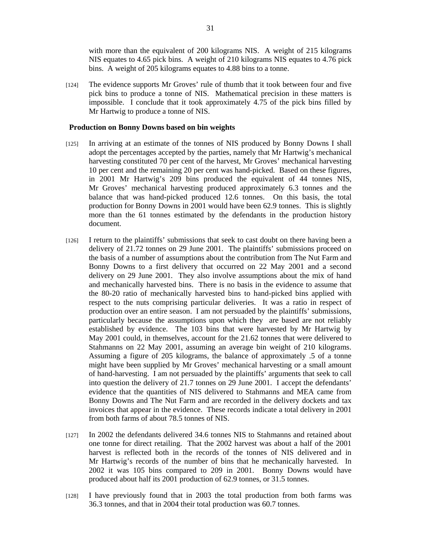with more than the equivalent of 200 kilograms NIS. A weight of 215 kilograms NIS equates to 4.65 pick bins. A weight of 210 kilograms NIS equates to 4.76 pick bins. A weight of 205 kilograms equates to 4.88 bins to a tonne.

[124] The evidence supports Mr Groves' rule of thumb that it took between four and five pick bins to produce a tonne of NIS. Mathematical precision in these matters is impossible. I conclude that it took approximately 4.75 of the pick bins filled by Mr Hartwig to produce a tonne of NIS.

#### **Production on Bonny Downs based on bin weights**

- [125] In arriving at an estimate of the tonnes of NIS produced by Bonny Downs I shall adopt the percentages accepted by the parties, namely that Mr Hartwig's mechanical harvesting constituted 70 per cent of the harvest, Mr Groves' mechanical harvesting 10 per cent and the remaining 20 per cent was hand-picked. Based on these figures, in 2001 Mr Hartwig's 209 bins produced the equivalent of 44 tonnes NIS, Mr Groves' mechanical harvesting produced approximately 6.3 tonnes and the balance that was hand-picked produced 12.6 tonnes. On this basis, the total production for Bonny Downs in 2001 would have been 62.9 tonnes. This is slightly more than the 61 tonnes estimated by the defendants in the production history document.
- [126] I return to the plaintiffs' submissions that seek to cast doubt on there having been a delivery of 21.72 tonnes on 29 June 2001. The plaintiffs' submissions proceed on the basis of a number of assumptions about the contribution from The Nut Farm and Bonny Downs to a first delivery that occurred on 22 May 2001 and a second delivery on 29 June 2001. They also involve assumptions about the mix of hand and mechanically harvested bins. There is no basis in the evidence to assume that the 80-20 ratio of mechanically harvested bins to hand-picked bins applied with respect to the nuts comprising particular deliveries. It was a ratio in respect of production over an entire season. I am not persuaded by the plaintiffs' submissions, particularly because the assumptions upon which they are based are not reliably established by evidence. The 103 bins that were harvested by Mr Hartwig by May 2001 could, in themselves, account for the 21.62 tonnes that were delivered to Stahmanns on 22 May 2001, assuming an average bin weight of 210 kilograms. Assuming a figure of 205 kilograms, the balance of approximately .5 of a tonne might have been supplied by Mr Groves' mechanical harvesting or a small amount of hand-harvesting. I am not persuaded by the plaintiffs' arguments that seek to call into question the delivery of 21.7 tonnes on 29 June 2001. I accept the defendants' evidence that the quantities of NIS delivered to Stahmanns and MEA came from Bonny Downs and The Nut Farm and are recorded in the delivery dockets and tax invoices that appear in the evidence. These records indicate a total delivery in 2001 from both farms of about 78.5 tonnes of NIS.
- [127] In 2002 the defendants delivered 34.6 tonnes NIS to Stahmanns and retained about one tonne for direct retailing. That the 2002 harvest was about a half of the 2001 harvest is reflected both in the records of the tonnes of NIS delivered and in Mr Hartwig's records of the number of bins that he mechanically harvested. In 2002 it was 105 bins compared to 209 in 2001. Bonny Downs would have produced about half its 2001 production of 62.9 tonnes, or 31.5 tonnes.
- [128] I have previously found that in 2003 the total production from both farms was 36.3 tonnes, and that in 2004 their total production was 60.7 tonnes.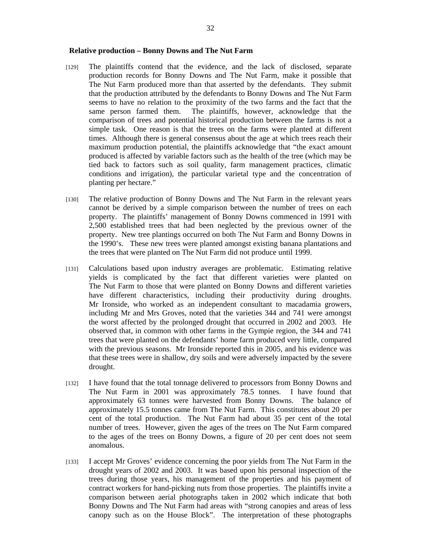- [129] The plaintiffs contend that the evidence, and the lack of disclosed, separate production records for Bonny Downs and The Nut Farm, make it possible that The Nut Farm produced more than that asserted by the defendants. They submit that the production attributed by the defendants to Bonny Downs and The Nut Farm seems to have no relation to the proximity of the two farms and the fact that the same person farmed them. The plaintiffs, however, acknowledge that the comparison of trees and potential historical production between the farms is not a simple task. One reason is that the trees on the farms were planted at different times. Although there is general consensus about the age at which trees reach their maximum production potential, the plaintiffs acknowledge that "the exact amount produced is affected by variable factors such as the health of the tree (which may be tied back to factors such as soil quality, farm management practices, climatic conditions and irrigation), the particular varietal type and the concentration of planting per hectare."
- [130] The relative production of Bonny Downs and The Nut Farm in the relevant years cannot be derived by a simple comparison between the number of trees on each property. The plaintiffs' management of Bonny Downs commenced in 1991 with 2,500 established trees that had been neglected by the previous owner of the property. New tree plantings occurred on both The Nut Farm and Bonny Downs in the 1990's. These new trees were planted amongst existing banana plantations and the trees that were planted on The Nut Farm did not produce until 1999.
- [131] Calculations based upon industry averages are problematic. Estimating relative yields is complicated by the fact that different varieties were planted on The Nut Farm to those that were planted on Bonny Downs and different varieties have different characteristics, including their productivity during droughts. Mr Ironside, who worked as an independent consultant to macadamia growers, including Mr and Mrs Groves, noted that the varieties 344 and 741 were amongst the worst affected by the prolonged drought that occurred in 2002 and 2003. He observed that, in common with other farms in the Gympie region, the 344 and 741 trees that were planted on the defendants' home farm produced very little, compared with the previous seasons. Mr Ironside reported this in 2005, and his evidence was that these trees were in shallow, dry soils and were adversely impacted by the severe drought.
- [132] I have found that the total tonnage delivered to processors from Bonny Downs and The Nut Farm in 2001 was approximately 78.5 tonnes. I have found that approximately 63 tonnes were harvested from Bonny Downs. The balance of approximately 15.5 tonnes came from The Nut Farm. This constitutes about 20 per cent of the total production. The Nut Farm had about 35 per cent of the total number of trees. However, given the ages of the trees on The Nut Farm compared to the ages of the trees on Bonny Downs, a figure of 20 per cent does not seem anomalous.
- [133] I accept Mr Groves' evidence concerning the poor yields from The Nut Farm in the drought years of 2002 and 2003. It was based upon his personal inspection of the trees during those years, his management of the properties and his payment of contract workers for hand-picking nuts from those properties. The plaintiffs invite a comparison between aerial photographs taken in 2002 which indicate that both Bonny Downs and The Nut Farm had areas with "strong canopies and areas of less canopy such as on the House Block". The interpretation of these photographs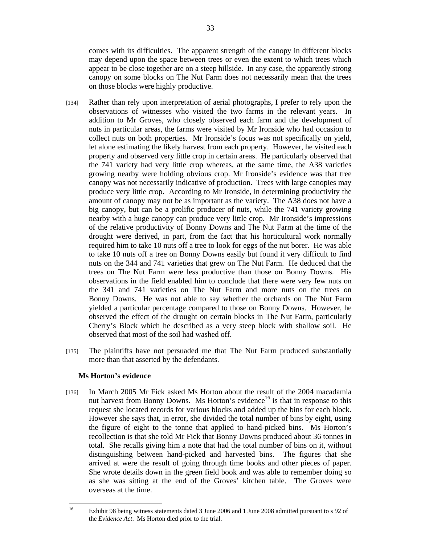comes with its difficulties. The apparent strength of the canopy in different blocks may depend upon the space between trees or even the extent to which trees which appear to be close together are on a steep hillside. In any case, the apparently strong canopy on some blocks on The Nut Farm does not necessarily mean that the trees on those blocks were highly productive.

- [134] Rather than rely upon interpretation of aerial photographs, I prefer to rely upon the observations of witnesses who visited the two farms in the relevant years. In addition to Mr Groves, who closely observed each farm and the development of nuts in particular areas, the farms were visited by Mr Ironside who had occasion to collect nuts on both properties. Mr Ironside's focus was not specifically on yield, let alone estimating the likely harvest from each property. However, he visited each property and observed very little crop in certain areas. He particularly observed that the 741 variety had very little crop whereas, at the same time, the A38 varieties growing nearby were holding obvious crop. Mr Ironside's evidence was that tree canopy was not necessarily indicative of production. Trees with large canopies may produce very little crop. According to Mr Ironside, in determining productivity the amount of canopy may not be as important as the variety. The A38 does not have a big canopy, but can be a prolific producer of nuts, while the 741 variety growing nearby with a huge canopy can produce very little crop. Mr Ironside's impressions of the relative productivity of Bonny Downs and The Nut Farm at the time of the drought were derived, in part, from the fact that his horticultural work normally required him to take 10 nuts off a tree to look for eggs of the nut borer. He was able to take 10 nuts off a tree on Bonny Downs easily but found it very difficult to find nuts on the 344 and 741 varieties that grew on The Nut Farm. He deduced that the trees on The Nut Farm were less productive than those on Bonny Downs. His observations in the field enabled him to conclude that there were very few nuts on the 341 and 741 varieties on The Nut Farm and more nuts on the trees on Bonny Downs. He was not able to say whether the orchards on The Nut Farm yielded a particular percentage compared to those on Bonny Downs. However, he observed the effect of the drought on certain blocks in The Nut Farm, particularly Cherry's Block which he described as a very steep block with shallow soil. He observed that most of the soil had washed off.
- [135] The plaintiffs have not persuaded me that The Nut Farm produced substantially more than that asserted by the defendants.

## **Ms Horton's evidence**

[136] In March 2005 Mr Fick asked Ms Horton about the result of the 2004 macadamia nut harvest from Bonny Downs. Ms Horton's evidence<sup>16</sup> is that in response to this request she located records for various blocks and added up the bins for each block. However she says that, in error, she divided the total number of bins by eight, using the figure of eight to the tonne that applied to hand-picked bins. Ms Horton's recollection is that she told Mr Fick that Bonny Downs produced about 36 tonnes in total. She recalls giving him a note that had the total number of bins on it, without distinguishing between hand-picked and harvested bins. The figures that she arrived at were the result of going through time books and other pieces of paper. She wrote details down in the green field book and was able to remember doing so as she was sitting at the end of the Groves' kitchen table. The Groves were overseas at the time.

<sup>16</sup> 16 Exhibit 98 being witness statements dated 3 June 2006 and 1 June 2008 admitted pursuant to s 92 of the *Evidence Act*. Ms Horton died prior to the trial.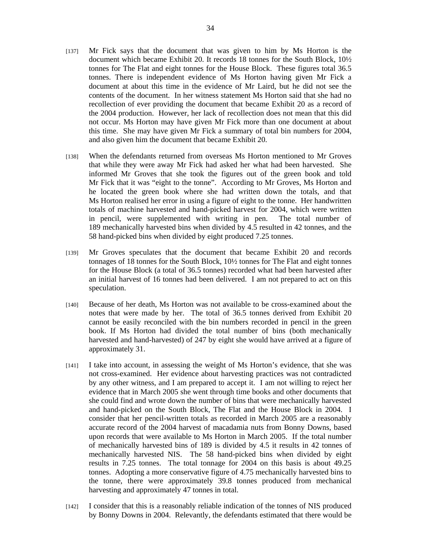- [137] Mr Fick says that the document that was given to him by Ms Horton is the document which became Exhibit 20. It records 18 tonnes for the South Block, 10½ tonnes for The Flat and eight tonnes for the House Block. These figures total 36.5 tonnes. There is independent evidence of Ms Horton having given Mr Fick a document at about this time in the evidence of Mr Laird, but he did not see the contents of the document. In her witness statement Ms Horton said that she had no recollection of ever providing the document that became Exhibit 20 as a record of the 2004 production. However, her lack of recollection does not mean that this did not occur. Ms Horton may have given Mr Fick more than one document at about this time. She may have given Mr Fick a summary of total bin numbers for 2004, and also given him the document that became Exhibit 20.
- [138] When the defendants returned from overseas Ms Horton mentioned to Mr Groves that while they were away Mr Fick had asked her what had been harvested. She informed Mr Groves that she took the figures out of the green book and told Mr Fick that it was "eight to the tonne". According to Mr Groves, Ms Horton and he located the green book where she had written down the totals, and that Ms Horton realised her error in using a figure of eight to the tonne. Her handwritten totals of machine harvested and hand-picked harvest for 2004, which were written in pencil, were supplemented with writing in pen. The total number of 189 mechanically harvested bins when divided by 4.5 resulted in 42 tonnes, and the 58 hand-picked bins when divided by eight produced 7.25 tonnes.
- [139] Mr Groves speculates that the document that became Exhibit 20 and records tonnages of 18 tonnes for the South Block, 10½ tonnes for The Flat and eight tonnes for the House Block (a total of 36.5 tonnes) recorded what had been harvested after an initial harvest of 16 tonnes had been delivered. I am not prepared to act on this speculation.
- [140] Because of her death, Ms Horton was not available to be cross-examined about the notes that were made by her. The total of 36.5 tonnes derived from Exhibit 20 cannot be easily reconciled with the bin numbers recorded in pencil in the green book. If Ms Horton had divided the total number of bins (both mechanically harvested and hand-harvested) of 247 by eight she would have arrived at a figure of approximately 31.
- [141] I take into account, in assessing the weight of Ms Horton's evidence, that she was not cross-examined. Her evidence about harvesting practices was not contradicted by any other witness, and I am prepared to accept it. I am not willing to reject her evidence that in March 2005 she went through time books and other documents that she could find and wrote down the number of bins that were mechanically harvested and hand-picked on the South Block, The Flat and the House Block in 2004. I consider that her pencil-written totals as recorded in March 2005 are a reasonably accurate record of the 2004 harvest of macadamia nuts from Bonny Downs, based upon records that were available to Ms Horton in March 2005. If the total number of mechanically harvested bins of 189 is divided by 4.5 it results in 42 tonnes of mechanically harvested NIS. The 58 hand-picked bins when divided by eight results in 7.25 tonnes. The total tonnage for 2004 on this basis is about 49.25 tonnes. Adopting a more conservative figure of 4.75 mechanically harvested bins to the tonne, there were approximately 39.8 tonnes produced from mechanical harvesting and approximately 47 tonnes in total.
- [142] I consider that this is a reasonably reliable indication of the tonnes of NIS produced by Bonny Downs in 2004. Relevantly, the defendants estimated that there would be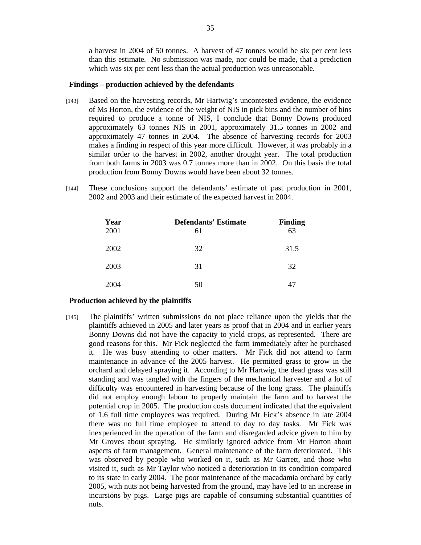a harvest in 2004 of 50 tonnes. A harvest of 47 tonnes would be six per cent less than this estimate. No submission was made, nor could be made, that a prediction which was six per cent less than the actual production was unreasonable.

#### **Findings – production achieved by the defendants**

- [143] Based on the harvesting records, Mr Hartwig's uncontested evidence, the evidence of Ms Horton, the evidence of the weight of NIS in pick bins and the number of bins required to produce a tonne of NIS, I conclude that Bonny Downs produced approximately 63 tonnes NIS in 2001, approximately 31.5 tonnes in 2002 and approximately 47 tonnes in 2004. The absence of harvesting records for 2003 makes a finding in respect of this year more difficult. However, it was probably in a similar order to the harvest in 2002, another drought year. The total production from both farms in 2003 was 0.7 tonnes more than in 2002. On this basis the total production from Bonny Downs would have been about 32 tonnes.
- [144] These conclusions support the defendants' estimate of past production in 2001, 2002 and 2003 and their estimate of the expected harvest in 2004.

| Year<br>2001 | <b>Defendants' Estimate</b><br>61 | <b>Finding</b><br>63 |
|--------------|-----------------------------------|----------------------|
| 2002         | 32                                | 31.5                 |
| 2003         | 31                                | 32                   |
| 2004         | 50                                |                      |

#### **Production achieved by the plaintiffs**

[145] The plaintiffs' written submissions do not place reliance upon the yields that the plaintiffs achieved in 2005 and later years as proof that in 2004 and in earlier years Bonny Downs did not have the capacity to yield crops, as represented. There are good reasons for this. Mr Fick neglected the farm immediately after he purchased it. He was busy attending to other matters. Mr Fick did not attend to farm maintenance in advance of the 2005 harvest. He permitted grass to grow in the orchard and delayed spraying it. According to Mr Hartwig, the dead grass was still standing and was tangled with the fingers of the mechanical harvester and a lot of difficulty was encountered in harvesting because of the long grass. The plaintiffs did not employ enough labour to properly maintain the farm and to harvest the potential crop in 2005. The production costs document indicated that the equivalent of 1.6 full time employees was required. During Mr Fick's absence in late 2004 there was no full time employee to attend to day to day tasks. Mr Fick was inexperienced in the operation of the farm and disregarded advice given to him by Mr Groves about spraying. He similarly ignored advice from Mr Horton about aspects of farm management. General maintenance of the farm deteriorated. This was observed by people who worked on it, such as Mr Garrett, and those who visited it, such as Mr Taylor who noticed a deterioration in its condition compared to its state in early 2004. The poor maintenance of the macadamia orchard by early 2005, with nuts not being harvested from the ground, may have led to an increase in incursions by pigs. Large pigs are capable of consuming substantial quantities of nuts.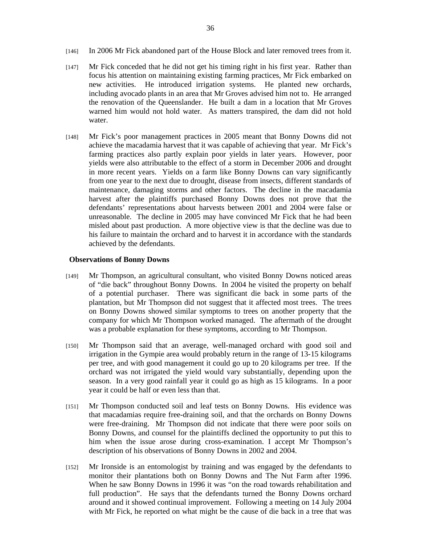- [146] In 2006 Mr Fick abandoned part of the House Block and later removed trees from it.
- [147] Mr Fick conceded that he did not get his timing right in his first year. Rather than focus his attention on maintaining existing farming practices, Mr Fick embarked on new activities. He introduced irrigation systems. He planted new orchards, including avocado plants in an area that Mr Groves advised him not to. He arranged the renovation of the Queenslander. He built a dam in a location that Mr Groves warned him would not hold water. As matters transpired, the dam did not hold water.
- [148] Mr Fick's poor management practices in 2005 meant that Bonny Downs did not achieve the macadamia harvest that it was capable of achieving that year. Mr Fick's farming practices also partly explain poor yields in later years. However, poor yields were also attributable to the effect of a storm in December 2006 and drought in more recent years. Yields on a farm like Bonny Downs can vary significantly from one year to the next due to drought, disease from insects, different standards of maintenance, damaging storms and other factors. The decline in the macadamia harvest after the plaintiffs purchased Bonny Downs does not prove that the defendants' representations about harvests between 2001 and 2004 were false or unreasonable. The decline in 2005 may have convinced Mr Fick that he had been misled about past production. A more objective view is that the decline was due to his failure to maintain the orchard and to harvest it in accordance with the standards achieved by the defendants.

## **Observations of Bonny Downs**

- [149] Mr Thompson, an agricultural consultant, who visited Bonny Downs noticed areas of "die back" throughout Bonny Downs. In 2004 he visited the property on behalf of a potential purchaser. There was significant die back in some parts of the plantation, but Mr Thompson did not suggest that it affected most trees. The trees on Bonny Downs showed similar symptoms to trees on another property that the company for which Mr Thompson worked managed. The aftermath of the drought was a probable explanation for these symptoms, according to Mr Thompson.
- [150] Mr Thompson said that an average, well-managed orchard with good soil and irrigation in the Gympie area would probably return in the range of 13-15 kilograms per tree, and with good management it could go up to 20 kilograms per tree. If the orchard was not irrigated the yield would vary substantially, depending upon the season. In a very good rainfall year it could go as high as 15 kilograms. In a poor year it could be half or even less than that.
- [151] Mr Thompson conducted soil and leaf tests on Bonny Downs. His evidence was that macadamias require free-draining soil, and that the orchards on Bonny Downs were free-draining. Mr Thompson did not indicate that there were poor soils on Bonny Downs, and counsel for the plaintiffs declined the opportunity to put this to him when the issue arose during cross-examination. I accept Mr Thompson's description of his observations of Bonny Downs in 2002 and 2004.
- [152] Mr Ironside is an entomologist by training and was engaged by the defendants to monitor their plantations both on Bonny Downs and The Nut Farm after 1996. When he saw Bonny Downs in 1996 it was "on the road towards rehabilitation and full production". He says that the defendants turned the Bonny Downs orchard around and it showed continual improvement. Following a meeting on 14 July 2004 with Mr Fick, he reported on what might be the cause of die back in a tree that was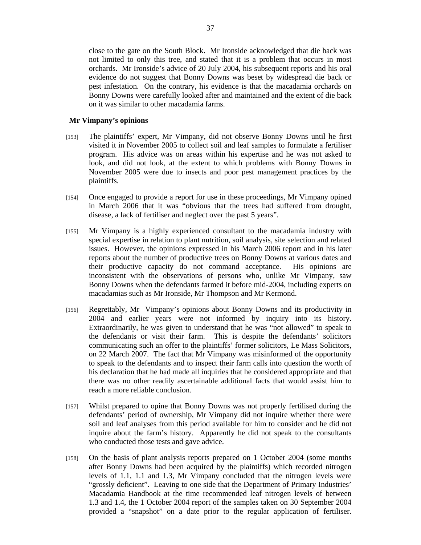close to the gate on the South Block. Mr Ironside acknowledged that die back was not limited to only this tree, and stated that it is a problem that occurs in most orchards. Mr Ironside's advice of 20 July 2004, his subsequent reports and his oral evidence do not suggest that Bonny Downs was beset by widespread die back or pest infestation. On the contrary, his evidence is that the macadamia orchards on Bonny Downs were carefully looked after and maintained and the extent of die back on it was similar to other macadamia farms.

#### **Mr Vimpany's opinions**

- [153] The plaintiffs' expert, Mr Vimpany, did not observe Bonny Downs until he first visited it in November 2005 to collect soil and leaf samples to formulate a fertiliser program. His advice was on areas within his expertise and he was not asked to look, and did not look, at the extent to which problems with Bonny Downs in November 2005 were due to insects and poor pest management practices by the plaintiffs.
- [154] Once engaged to provide a report for use in these proceedings, Mr Vimpany opined in March 2006 that it was "obvious that the trees had suffered from drought, disease, a lack of fertiliser and neglect over the past 5 years".
- [155] Mr Vimpany is a highly experienced consultant to the macadamia industry with special expertise in relation to plant nutrition, soil analysis, site selection and related issues. However, the opinions expressed in his March 2006 report and in his later reports about the number of productive trees on Bonny Downs at various dates and their productive capacity do not command acceptance. His opinions are inconsistent with the observations of persons who, unlike Mr Vimpany, saw Bonny Downs when the defendants farmed it before mid-2004, including experts on macadamias such as Mr Ironside, Mr Thompson and Mr Kermond.
- [156] Regrettably, Mr Vimpany's opinions about Bonny Downs and its productivity in 2004 and earlier years were not informed by inquiry into its history. Extraordinarily, he was given to understand that he was "not allowed" to speak to the defendants or visit their farm. This is despite the defendants' solicitors communicating such an offer to the plaintiffs' former solicitors, Le Mass Solicitors, on 22 March 2007. The fact that Mr Vimpany was misinformed of the opportunity to speak to the defendants and to inspect their farm calls into question the worth of his declaration that he had made all inquiries that he considered appropriate and that there was no other readily ascertainable additional facts that would assist him to reach a more reliable conclusion.
- [157] Whilst prepared to opine that Bonny Downs was not properly fertilised during the defendants' period of ownership, Mr Vimpany did not inquire whether there were soil and leaf analyses from this period available for him to consider and he did not inquire about the farm's history. Apparently he did not speak to the consultants who conducted those tests and gave advice.
- [158] On the basis of plant analysis reports prepared on 1 October 2004 (some months after Bonny Downs had been acquired by the plaintiffs) which recorded nitrogen levels of 1.1, 1.1 and 1.3, Mr Vimpany concluded that the nitrogen levels were "grossly deficient". Leaving to one side that the Department of Primary Industries' Macadamia Handbook at the time recommended leaf nitrogen levels of between 1.3 and 1.4, the 1 October 2004 report of the samples taken on 30 September 2004 provided a "snapshot" on a date prior to the regular application of fertiliser.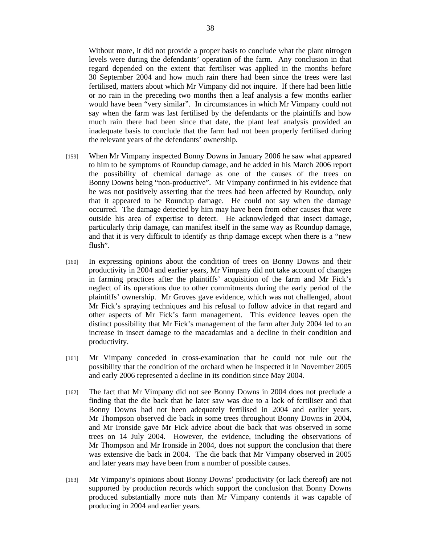Without more, it did not provide a proper basis to conclude what the plant nitrogen levels were during the defendants' operation of the farm. Any conclusion in that regard depended on the extent that fertiliser was applied in the months before 30 September 2004 and how much rain there had been since the trees were last fertilised, matters about which Mr Vimpany did not inquire. If there had been little or no rain in the preceding two months then a leaf analysis a few months earlier would have been "very similar". In circumstances in which Mr Vimpany could not say when the farm was last fertilised by the defendants or the plaintiffs and how much rain there had been since that date, the plant leaf analysis provided an inadequate basis to conclude that the farm had not been properly fertilised during the relevant years of the defendants' ownership.

- [159] When Mr Vimpany inspected Bonny Downs in January 2006 he saw what appeared to him to be symptoms of Roundup damage, and he added in his March 2006 report the possibility of chemical damage as one of the causes of the trees on Bonny Downs being "non-productive". Mr Vimpany confirmed in his evidence that he was not positively asserting that the trees had been affected by Roundup, only that it appeared to be Roundup damage. He could not say when the damage occurred. The damage detected by him may have been from other causes that were outside his area of expertise to detect. He acknowledged that insect damage, particularly thrip damage, can manifest itself in the same way as Roundup damage, and that it is very difficult to identify as thrip damage except when there is a "new flush".
- [160] In expressing opinions about the condition of trees on Bonny Downs and their productivity in 2004 and earlier years, Mr Vimpany did not take account of changes in farming practices after the plaintiffs' acquisition of the farm and Mr Fick's neglect of its operations due to other commitments during the early period of the plaintiffs' ownership. Mr Groves gave evidence, which was not challenged, about Mr Fick's spraying techniques and his refusal to follow advice in that regard and other aspects of Mr Fick's farm management. This evidence leaves open the distinct possibility that Mr Fick's management of the farm after July 2004 led to an increase in insect damage to the macadamias and a decline in their condition and productivity.
- [161] Mr Vimpany conceded in cross-examination that he could not rule out the possibility that the condition of the orchard when he inspected it in November 2005 and early 2006 represented a decline in its condition since May 2004.
- [162] The fact that Mr Vimpany did not see Bonny Downs in 2004 does not preclude a finding that the die back that he later saw was due to a lack of fertiliser and that Bonny Downs had not been adequately fertilised in 2004 and earlier years. Mr Thompson observed die back in some trees throughout Bonny Downs in 2004, and Mr Ironside gave Mr Fick advice about die back that was observed in some trees on 14 July 2004. However, the evidence, including the observations of Mr Thompson and Mr Ironside in 2004, does not support the conclusion that there was extensive die back in 2004. The die back that Mr Vimpany observed in 2005 and later years may have been from a number of possible causes.
- [163] Mr Vimpany's opinions about Bonny Downs' productivity (or lack thereof) are not supported by production records which support the conclusion that Bonny Downs produced substantially more nuts than Mr Vimpany contends it was capable of producing in 2004 and earlier years.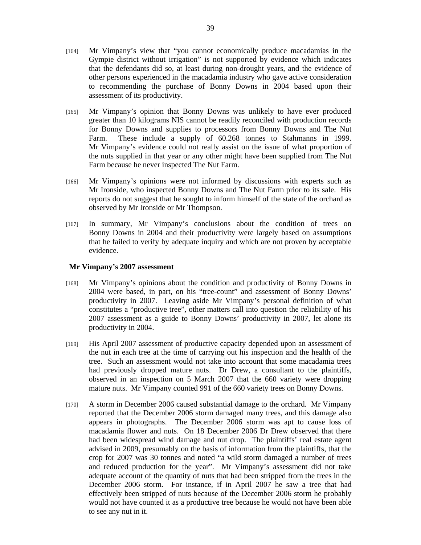- [164] Mr Vimpany's view that "you cannot economically produce macadamias in the Gympie district without irrigation" is not supported by evidence which indicates that the defendants did so, at least during non-drought years, and the evidence of other persons experienced in the macadamia industry who gave active consideration to recommending the purchase of Bonny Downs in 2004 based upon their assessment of its productivity.
- [165] Mr Vimpany's opinion that Bonny Downs was unlikely to have ever produced greater than 10 kilograms NIS cannot be readily reconciled with production records for Bonny Downs and supplies to processors from Bonny Downs and The Nut Farm. These include a supply of 60.268 tonnes to Stahmanns in 1999. Mr Vimpany's evidence could not really assist on the issue of what proportion of the nuts supplied in that year or any other might have been supplied from The Nut Farm because he never inspected The Nut Farm.
- [166] Mr Vimpany's opinions were not informed by discussions with experts such as Mr Ironside, who inspected Bonny Downs and The Nut Farm prior to its sale. His reports do not suggest that he sought to inform himself of the state of the orchard as observed by Mr Ironside or Mr Thompson.
- [167] In summary, Mr Vimpany's conclusions about the condition of trees on Bonny Downs in 2004 and their productivity were largely based on assumptions that he failed to verify by adequate inquiry and which are not proven by acceptable evidence.

## **Mr Vimpany's 2007 assessment**

- [168] Mr Vimpany's opinions about the condition and productivity of Bonny Downs in 2004 were based, in part, on his "tree-count" and assessment of Bonny Downs' productivity in 2007. Leaving aside Mr Vimpany's personal definition of what constitutes a "productive tree", other matters call into question the reliability of his 2007 assessment as a guide to Bonny Downs' productivity in 2007, let alone its productivity in 2004.
- [169] His April 2007 assessment of productive capacity depended upon an assessment of the nut in each tree at the time of carrying out his inspection and the health of the tree. Such an assessment would not take into account that some macadamia trees had previously dropped mature nuts. Dr Drew, a consultant to the plaintiffs, observed in an inspection on 5 March 2007 that the 660 variety were dropping mature nuts. Mr Vimpany counted 991 of the 660 variety trees on Bonny Downs.
- [170] A storm in December 2006 caused substantial damage to the orchard. Mr Vimpany reported that the December 2006 storm damaged many trees, and this damage also appears in photographs. The December 2006 storm was apt to cause loss of macadamia flower and nuts. On 18 December 2006 Dr Drew observed that there had been widespread wind damage and nut drop. The plaintiffs' real estate agent advised in 2009, presumably on the basis of information from the plaintiffs, that the crop for 2007 was 30 tonnes and noted "a wild storm damaged a number of trees and reduced production for the year". Mr Vimpany's assessment did not take adequate account of the quantity of nuts that had been stripped from the trees in the December 2006 storm. For instance, if in April 2007 he saw a tree that had effectively been stripped of nuts because of the December 2006 storm he probably would not have counted it as a productive tree because he would not have been able to see any nut in it.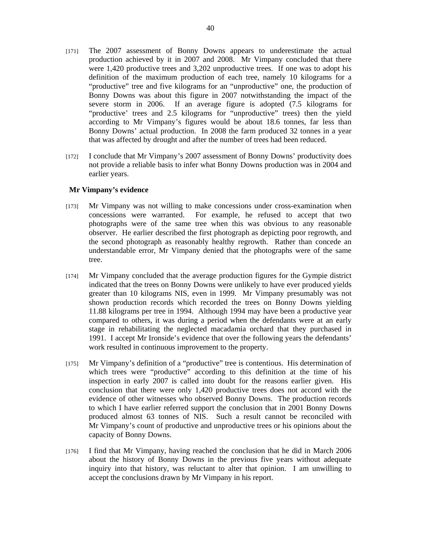- [171] The 2007 assessment of Bonny Downs appears to underestimate the actual production achieved by it in 2007 and 2008. Mr Vimpany concluded that there were 1,420 productive trees and 3,202 unproductive trees. If one was to adopt his definition of the maximum production of each tree, namely 10 kilograms for a "productive" tree and five kilograms for an "unproductive" one, the production of Bonny Downs was about this figure in 2007 notwithstanding the impact of the severe storm in 2006. If an average figure is adopted (7.5 kilograms for "productive' trees and 2.5 kilograms for "unproductive" trees) then the yield according to Mr Vimpany's figures would be about 18.6 tonnes, far less than Bonny Downs' actual production. In 2008 the farm produced 32 tonnes in a year that was affected by drought and after the number of trees had been reduced.
- [172] I conclude that Mr Vimpany's 2007 assessment of Bonny Downs' productivity does not provide a reliable basis to infer what Bonny Downs production was in 2004 and earlier years.

#### **Mr Vimpany's evidence**

- [173] Mr Vimpany was not willing to make concessions under cross-examination when concessions were warranted. For example, he refused to accept that two photographs were of the same tree when this was obvious to any reasonable observer. He earlier described the first photograph as depicting poor regrowth, and the second photograph as reasonably healthy regrowth. Rather than concede an understandable error, Mr Vimpany denied that the photographs were of the same tree.
- [174] Mr Vimpany concluded that the average production figures for the Gympie district indicated that the trees on Bonny Downs were unlikely to have ever produced yields greater than 10 kilograms NIS, even in 1999. Mr Vimpany presumably was not shown production records which recorded the trees on Bonny Downs yielding 11.88 kilograms per tree in 1994. Although 1994 may have been a productive year compared to others, it was during a period when the defendants were at an early stage in rehabilitating the neglected macadamia orchard that they purchased in 1991. I accept Mr Ironside's evidence that over the following years the defendants' work resulted in continuous improvement to the property.
- [175] Mr Vimpany's definition of a "productive" tree is contentious. His determination of which trees were "productive" according to this definition at the time of his inspection in early 2007 is called into doubt for the reasons earlier given. His conclusion that there were only 1,420 productive trees does not accord with the evidence of other witnesses who observed Bonny Downs. The production records to which I have earlier referred support the conclusion that in 2001 Bonny Downs produced almost 63 tonnes of NIS. Such a result cannot be reconciled with Mr Vimpany's count of productive and unproductive trees or his opinions about the capacity of Bonny Downs.
- [176] I find that Mr Vimpany, having reached the conclusion that he did in March 2006 about the history of Bonny Downs in the previous five years without adequate inquiry into that history, was reluctant to alter that opinion. I am unwilling to accept the conclusions drawn by Mr Vimpany in his report.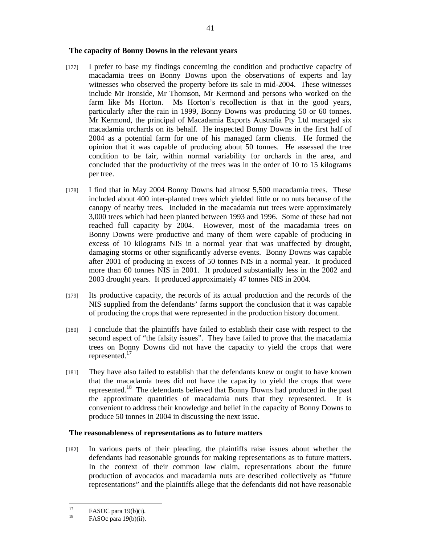#### **The capacity of Bonny Downs in the relevant years**

- [177] I prefer to base my findings concerning the condition and productive capacity of macadamia trees on Bonny Downs upon the observations of experts and lay witnesses who observed the property before its sale in mid-2004. These witnesses include Mr Ironside, Mr Thomson, Mr Kermond and persons who worked on the farm like Ms Horton. Ms Horton's recollection is that in the good years, particularly after the rain in 1999, Bonny Downs was producing 50 or 60 tonnes. Mr Kermond, the principal of Macadamia Exports Australia Pty Ltd managed six macadamia orchards on its behalf. He inspected Bonny Downs in the first half of 2004 as a potential farm for one of his managed farm clients. He formed the opinion that it was capable of producing about 50 tonnes. He assessed the tree condition to be fair, within normal variability for orchards in the area, and concluded that the productivity of the trees was in the order of 10 to 15 kilograms per tree.
- [178] I find that in May 2004 Bonny Downs had almost 5,500 macadamia trees. These included about 400 inter-planted trees which yielded little or no nuts because of the canopy of nearby trees. Included in the macadamia nut trees were approximately 3,000 trees which had been planted between 1993 and 1996. Some of these had not reached full capacity by 2004. However, most of the macadamia trees on Bonny Downs were productive and many of them were capable of producing in excess of 10 kilograms NIS in a normal year that was unaffected by drought, damaging storms or other significantly adverse events. Bonny Downs was capable after 2001 of producing in excess of 50 tonnes NIS in a normal year. It produced more than 60 tonnes NIS in 2001. It produced substantially less in the 2002 and 2003 drought years. It produced approximately 47 tonnes NIS in 2004.
- [179] Its productive capacity, the records of its actual production and the records of the NIS supplied from the defendants' farms support the conclusion that it was capable of producing the crops that were represented in the production history document.
- [180] I conclude that the plaintiffs have failed to establish their case with respect to the second aspect of "the falsity issues". They have failed to prove that the macadamia trees on Bonny Downs did not have the capacity to yield the crops that were represented.<sup>17</sup>
- [181] They have also failed to establish that the defendants knew or ought to have known that the macadamia trees did not have the capacity to yield the crops that were represented.<sup>18</sup> The defendants believed that Bonny Downs had produced in the past the approximate quantities of macadamia nuts that they represented. It is convenient to address their knowledge and belief in the capacity of Bonny Downs to produce 50 tonnes in 2004 in discussing the next issue.

#### **The reasonableness of representations as to future matters**

[182] In various parts of their pleading, the plaintiffs raise issues about whether the defendants had reasonable grounds for making representations as to future matters. In the context of their common law claim, representations about the future production of avocados and macadamia nuts are described collectively as "future representations" and the plaintiffs allege that the defendants did not have reasonable

<sup>17</sup> <sup>17</sup> FASOC para 19(b)(i).

FASOc para 19(b)(ii).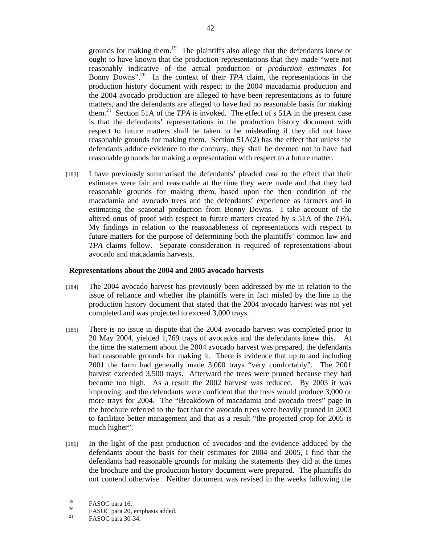grounds for making them.<sup>19</sup> The plaintiffs also allege that the defendants knew or ought to have known that the production representations that they made "were not reasonably indicative of the actual production or *production estimates* for Bonny Downs"<sup>20</sup>. In the context of their *TPA* claim, the representations in the production history document with respect to the 2004 macadamia production and the 2004 avocado production are alleged to have been representations as to future matters, and the defendants are alleged to have had no reasonable basis for making them.21 Section 51A of the *TPA* is invoked. The effect of s 51A in the present case is that the defendants' representations in the production history document with respect to future matters shall be taken to be misleading if they did not have reasonable grounds for making them. Section 51A(2) has the effect that unless the defendants adduce evidence to the contrary, they shall be deemed not to have had reasonable grounds for making a representation with respect to a future matter.

[183] I have previously summarised the defendants' pleaded case to the effect that their estimates were fair and reasonable at the time they were made and that they had reasonable grounds for making them, based upon the then condition of the macadamia and avocado trees and the defendants' experience as farmers and in estimating the seasonal production from Bonny Downs. I take account of the altered onus of proof with respect to future matters created by s 51A of the *TPA*. My findings in relation to the reasonableness of representations with respect to future matters for the purpose of determining both the plaintiffs' common law and *TPA* claims follow. Separate consideration is required of representations about avocado and macadamia harvests.

## **Representations about the 2004 and 2005 avocado harvests**

- [184] The 2004 avocado harvest has previously been addressed by me in relation to the issue of reliance and whether the plaintiffs were in fact misled by the line in the production history document that stated that the 2004 avocado harvest was not yet completed and was projected to exceed 3,000 trays.
- [185] There is no issue in dispute that the 2004 avocado harvest was completed prior to 20 May 2004, yielded 1,769 trays of avocados and the defendants knew this. At the time the statement about the 2004 avocado harvest was prepared, the defendants had reasonable grounds for making it. There is evidence that up to and including 2001 the farm had generally made 3,000 trays "very comfortably". The 2001 harvest exceeded 3,500 trays. Afterward the trees were pruned because they had become too high. As a result the 2002 harvest was reduced. By 2003 it was improving, and the defendants were confident that the trees would produce 3,000 or more trays for 2004. The "Breakdown of macadamia and avocado trees" page in the brochure referred to the fact that the avocado trees were heavily pruned in 2003 to facilitate better management and that as a result "the projected crop for 2005 is much higher".
- [186] In the light of the past production of avocados and the evidence adduced by the defendants about the basis for their estimates for 2004 and 2005, I find that the defendants had reasonable grounds for making the statements they did at the times the brochure and the production history document were prepared. The plaintiffs do not contend otherwise. Neither document was revised in the weeks following the

 $19$  $^{19}$  FASOC para 16.

<sup>&</sup>lt;sup>20</sup> FASOC para 20, emphasis added.

FASOC para 30-34.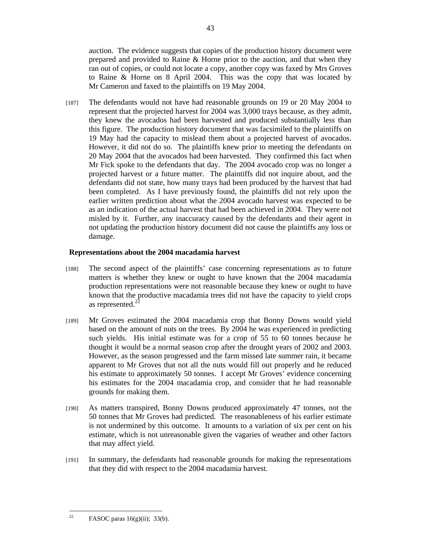auction. The evidence suggests that copies of the production history document were prepared and provided to Raine & Horne prior to the auction, and that when they ran out of copies, or could not locate a copy, another copy was faxed by Mrs Groves to Raine & Horne on 8 April 2004. This was the copy that was located by Mr Cameron and faxed to the plaintiffs on 19 May 2004.

[187] The defendants would not have had reasonable grounds on 19 or 20 May 2004 to represent that the projected harvest for 2004 was 3,000 trays because, as they admit, they knew the avocados had been harvested and produced substantially less than this figure. The production history document that was facsimiled to the plaintiffs on 19 May had the capacity to mislead them about a projected harvest of avocados. However, it did not do so. The plaintiffs knew prior to meeting the defendants on 20 May 2004 that the avocados had been harvested. They confirmed this fact when Mr Fick spoke to the defendants that day. The 2004 avocado crop was no longer a projected harvest or a future matter. The plaintiffs did not inquire about, and the defendants did not state, how many trays had been produced by the harvest that had been completed. As I have previously found, the plaintiffs did not rely upon the earlier written prediction about what the 2004 avocado harvest was expected to be as an indication of the actual harvest that had been achieved in 2004. They were not misled by it. Further, any inaccuracy caused by the defendants and their agent in not updating the production history document did not cause the plaintiffs any loss or damage.

## **Representations about the 2004 macadamia harvest**

- [188] The second aspect of the plaintiffs' case concerning representations as to future matters is whether they knew or ought to have known that the 2004 macadamia production representations were not reasonable because they knew or ought to have known that the productive macadamia trees did not have the capacity to yield crops as represented. $^{2}$
- [189] Mr Groves estimated the 2004 macadamia crop that Bonny Downs would yield based on the amount of nuts on the trees. By 2004 he was experienced in predicting such yields. His initial estimate was for a crop of 55 to 60 tonnes because he thought it would be a normal season crop after the drought years of 2002 and 2003. However, as the season progressed and the farm missed late summer rain, it became apparent to Mr Groves that not all the nuts would fill out properly and he reduced his estimate to approximately 50 tonnes. I accept Mr Groves' evidence concerning his estimates for the 2004 macadamia crop, and consider that he had reasonable grounds for making them.
- [190] As matters transpired, Bonny Downs produced approximately 47 tonnes, not the 50 tonnes that Mr Groves had predicted. The reasonableness of his earlier estimate is not undermined by this outcome. It amounts to a variation of six per cent on his estimate, which is not unreasonable given the vagaries of weather and other factors that may affect yield.
- [191] In summary, the defendants had reasonable grounds for making the representations that they did with respect to the 2004 macadamia harvest.

 $22$ FASOC paras  $16(g)(ii)$ ; 33(b).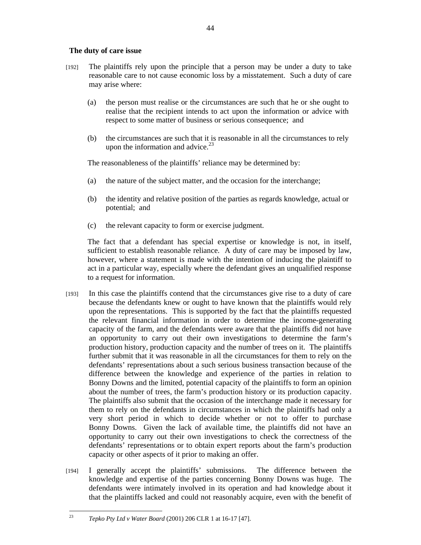## **The duty of care issue**

- [192] The plaintiffs rely upon the principle that a person may be under a duty to take reasonable care to not cause economic loss by a misstatement. Such a duty of care may arise where:
	- (a) the person must realise or the circumstances are such that he or she ought to realise that the recipient intends to act upon the information or advice with respect to some matter of business or serious consequence; and
	- (b) the circumstances are such that it is reasonable in all the circumstances to rely upon the information and advice. $^{23}$

The reasonableness of the plaintiffs' reliance may be determined by:

- (a) the nature of the subject matter, and the occasion for the interchange;
- (b) the identity and relative position of the parties as regards knowledge, actual or potential; and
- (c) the relevant capacity to form or exercise judgment.

The fact that a defendant has special expertise or knowledge is not, in itself, sufficient to establish reasonable reliance. A duty of care may be imposed by law, however, where a statement is made with the intention of inducing the plaintiff to act in a particular way, especially where the defendant gives an unqualified response to a request for information.

- [193] In this case the plaintiffs contend that the circumstances give rise to a duty of care because the defendants knew or ought to have known that the plaintiffs would rely upon the representations. This is supported by the fact that the plaintiffs requested the relevant financial information in order to determine the income-generating capacity of the farm, and the defendants were aware that the plaintiffs did not have an opportunity to carry out their own investigations to determine the farm's production history, production capacity and the number of trees on it. The plaintiffs further submit that it was reasonable in all the circumstances for them to rely on the defendants' representations about a such serious business transaction because of the difference between the knowledge and experience of the parties in relation to Bonny Downs and the limited, potential capacity of the plaintiffs to form an opinion about the number of trees, the farm's production history or its production capacity. The plaintiffs also submit that the occasion of the interchange made it necessary for them to rely on the defendants in circumstances in which the plaintiffs had only a very short period in which to decide whether or not to offer to purchase Bonny Downs. Given the lack of available time, the plaintiffs did not have an opportunity to carry out their own investigations to check the correctness of the defendants' representations or to obtain expert reports about the farm's production capacity or other aspects of it prior to making an offer.
- [194] I generally accept the plaintiffs' submissions. The difference between the knowledge and expertise of the parties concerning Bonny Downs was huge. The defendants were intimately involved in its operation and had knowledge about it that the plaintiffs lacked and could not reasonably acquire, even with the benefit of

 $23$ 23 *Tepko Pty Ltd v Water Board* (2001) 206 CLR 1 at 16-17 [47].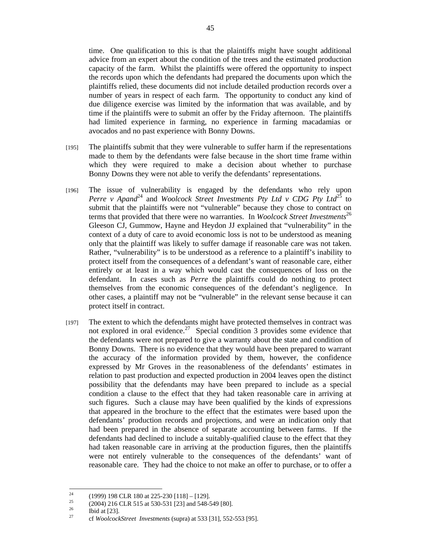time. One qualification to this is that the plaintiffs might have sought additional advice from an expert about the condition of the trees and the estimated production capacity of the farm. Whilst the plaintiffs were offered the opportunity to inspect the records upon which the defendants had prepared the documents upon which the plaintiffs relied, these documents did not include detailed production records over a number of years in respect of each farm. The opportunity to conduct any kind of due diligence exercise was limited by the information that was available, and by time if the plaintiffs were to submit an offer by the Friday afternoon. The plaintiffs had limited experience in farming, no experience in farming macadamias or avocados and no past experience with Bonny Downs.

- [195] The plaintiffs submit that they were vulnerable to suffer harm if the representations made to them by the defendants were false because in the short time frame within which they were required to make a decision about whether to purchase Bonny Downs they were not able to verify the defendants' representations.
- [196] The issue of vulnerability is engaged by the defendants who rely upon *Perre v Apand*<sup>24</sup> and *Woolcock Street Investments Pty Ltd v CDG Pty Ltd*<sup>25</sup> to submit that the plaintiffs were not "vulnerable" because they chose to contract on terms that provided that there were no warranties. In *Woolcock Street Investments*<sup>26</sup> Gleeson CJ, Gummow, Hayne and Heydon JJ explained that "vulnerability" in the context of a duty of care to avoid economic loss is not to be understood as meaning only that the plaintiff was likely to suffer damage if reasonable care was not taken. Rather, "vulnerability" is to be understood as a reference to a plaintiff's inability to protect itself from the consequences of a defendant's want of reasonable care, either entirely or at least in a way which would cast the consequences of loss on the defendant. In cases such as *Perre* the plaintiffs could do nothing to protect themselves from the economic consequences of the defendant's negligence. In other cases, a plaintiff may not be "vulnerable" in the relevant sense because it can protect itself in contract.
- [197] The extent to which the defendants might have protected themselves in contract was not explored in oral evidence.<sup>27</sup> Special condition 3 provides some evidence that the defendants were not prepared to give a warranty about the state and condition of Bonny Downs. There is no evidence that they would have been prepared to warrant the accuracy of the information provided by them, however, the confidence expressed by Mr Groves in the reasonableness of the defendants' estimates in relation to past production and expected production in 2004 leaves open the distinct possibility that the defendants may have been prepared to include as a special condition a clause to the effect that they had taken reasonable care in arriving at such figures. Such a clause may have been qualified by the kinds of expressions that appeared in the brochure to the effect that the estimates were based upon the defendants' production records and projections, and were an indication only that had been prepared in the absence of separate accounting between farms. If the defendants had declined to include a suitably-qualified clause to the effect that they had taken reasonable care in arriving at the production figures, then the plaintiffs were not entirely vulnerable to the consequences of the defendants' want of reasonable care. They had the choice to not make an offer to purchase, or to offer a

 $24$ <sup>24</sup> (1999) 198 CLR 180 at 225-230 [118] – [129].<br><sup>25</sup> (2004) 216 CLR 515 at 520 521 [22] and 548 f

<sup>&</sup>lt;sup>25</sup> (2004) 216 CLR 515 at 530-531 [23] and 548-549 [80].

 $rac{26}{27}$  Ibid at [23].

<sup>27</sup> cf *WoolcockStreet Investments* (supra) at 533 [31], 552-553 [95].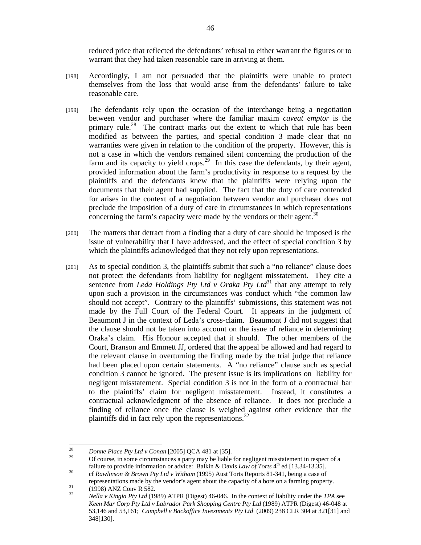reduced price that reflected the defendants' refusal to either warrant the figures or to warrant that they had taken reasonable care in arriving at them.

- [198] Accordingly, I am not persuaded that the plaintiffs were unable to protect themselves from the loss that would arise from the defendants' failure to take reasonable care.
- [199] The defendants rely upon the occasion of the interchange being a negotiation between vendor and purchaser where the familiar maxim *caveat emptor* is the primary rule.<sup>28</sup> The contract marks out the extent to which that rule has been modified as between the parties, and special condition 3 made clear that no warranties were given in relation to the condition of the property. However, this is not a case in which the vendors remained silent concerning the production of the farm and its capacity to yield crops.<sup>29</sup> In this case the defendants, by their agent, provided information about the farm's productivity in response to a request by the plaintiffs and the defendants knew that the plaintiffs were relying upon the documents that their agent had supplied. The fact that the duty of care contended for arises in the context of a negotiation between vendor and purchaser does not preclude the imposition of a duty of care in circumstances in which representations concerning the farm's capacity were made by the vendors or their agent.<sup>30</sup>
- [200] The matters that detract from a finding that a duty of care should be imposed is the issue of vulnerability that I have addressed, and the effect of special condition 3 by which the plaintiffs acknowledged that they not rely upon representations.
- [201] As to special condition 3, the plaintiffs submit that such a "no reliance" clause does not protect the defendants from liability for negligent misstatement. They cite a sentence from *Leda Holdings Pty Ltd v Oraka Pty Ltd*<sup>31</sup> that any attempt to rely upon such a provision in the circumstances was conduct which "the common law should not accept". Contrary to the plaintiffs' submissions, this statement was not made by the Full Court of the Federal Court. It appears in the judgment of Beaumont J in the context of Leda's cross-claim. Beaumont J did not suggest that the clause should not be taken into account on the issue of reliance in determining Oraka's claim. His Honour accepted that it should. The other members of the Court, Branson and Emmett JJ, ordered that the appeal be allowed and had regard to the relevant clause in overturning the finding made by the trial judge that reliance had been placed upon certain statements. A "no reliance" clause such as special condition 3 cannot be ignored. The present issue is its implications on liability for negligent misstatement. Special condition 3 is not in the form of a contractual bar to the plaintiffs' claim for negligent misstatement. Instead, it constitutes a contractual acknowledgment of the absence of reliance. It does not preclude a finding of reliance once the clause is weighed against other evidence that the plaintiffs did in fact rely upon the representations.<sup>32</sup>

 $28$ 

<sup>&</sup>lt;sup>28</sup> Donne Place Pty Ltd v Conan [2005] QCA 481 at [35].<br><sup>29</sup> Of course, in some circumstances a party may be liable for negligent misstatement in respect of a failure to provide information or advice: Balkin & Davis *Law of Torts* 4<sup>th</sup> ed [13.34-13.35].<br><sup>30</sup> cf *Rawlinson & Brown Pty Ltd v Witham* (1995) Aust Torts Reports 81-341, being a case of

representations made by the vendor's agent about the capacity of a bore on a farming property.<br>  $(1998)$  ANZ Conv R 582.<br>  $N_{\rm H} = N_{\rm H} = 1.1 \times 10^{12}$  (1099) ATPP. (Disset) 46.046. In the content of lightlite and subsets

<sup>32</sup> *Nella v Kingia Pty Ltd* (1989) ATPR (Digest) 46-046. In the context of liability under the *TPA* see *Keen Mar Corp Pty Ltd v Labrador Park Shopping Centre Pty Ltd* (1989) ATPR (Digest) 46-048 at 53,146 and 53,161; *Campbell v Backoffice Investments Pty Ltd* (2009) 238 CLR 304 at 321[31] and 348[130].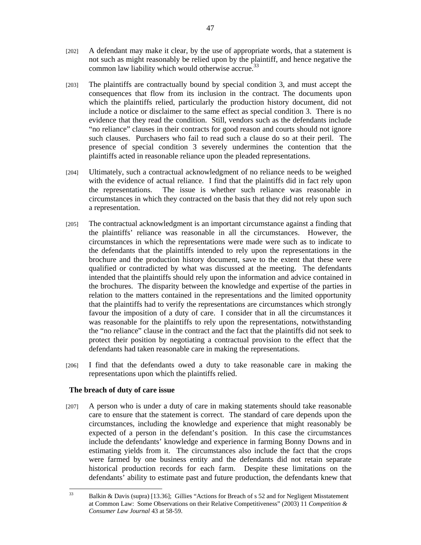- [202] A defendant may make it clear, by the use of appropriate words, that a statement is not such as might reasonably be relied upon by the plaintiff, and hence negative the common law liability which would otherwise accrue.<sup>33</sup>
- [203] The plaintiffs are contractually bound by special condition 3, and must accept the consequences that flow from its inclusion in the contract. The documents upon which the plaintiffs relied, particularly the production history document, did not include a notice or disclaimer to the same effect as special condition 3. There is no evidence that they read the condition. Still, vendors such as the defendants include "no reliance" clauses in their contracts for good reason and courts should not ignore such clauses. Purchasers who fail to read such a clause do so at their peril. The presence of special condition 3 severely undermines the contention that the plaintiffs acted in reasonable reliance upon the pleaded representations.
- [204] Ultimately, such a contractual acknowledgment of no reliance needs to be weighed with the evidence of actual reliance. I find that the plaintiffs did in fact rely upon the representations. The issue is whether such reliance was reasonable in circumstances in which they contracted on the basis that they did not rely upon such a representation.
- [205] The contractual acknowledgment is an important circumstance against a finding that the plaintiffs' reliance was reasonable in all the circumstances. However, the circumstances in which the representations were made were such as to indicate to the defendants that the plaintiffs intended to rely upon the representations in the brochure and the production history document, save to the extent that these were qualified or contradicted by what was discussed at the meeting. The defendants intended that the plaintiffs should rely upon the information and advice contained in the brochures. The disparity between the knowledge and expertise of the parties in relation to the matters contained in the representations and the limited opportunity that the plaintiffs had to verify the representations are circumstances which strongly favour the imposition of a duty of care. I consider that in all the circumstances it was reasonable for the plaintiffs to rely upon the representations, notwithstanding the "no reliance" clause in the contract and the fact that the plaintiffs did not seek to protect their position by negotiating a contractual provision to the effect that the defendants had taken reasonable care in making the representations.
- [206] I find that the defendants owed a duty to take reasonable care in making the representations upon which the plaintiffs relied.

## **The breach of duty of care issue**

[207] A person who is under a duty of care in making statements should take reasonable care to ensure that the statement is correct. The standard of care depends upon the circumstances, including the knowledge and experience that might reasonably be expected of a person in the defendant's position. In this case the circumstances include the defendants' knowledge and experience in farming Bonny Downs and in estimating yields from it. The circumstances also include the fact that the crops were farmed by one business entity and the defendants did not retain separate historical production records for each farm. Despite these limitations on the defendants' ability to estimate past and future production, the defendants knew that

 $33$ 33 Balkin & Davis (supra) [13.36]; Gillies "Actions for Breach of s 52 and for Negligent Misstatement at Common Law: Some Observations on their Relative Competitiveness" (2003) 11 *Competition & Consumer Law Journal* 43 at 58-59.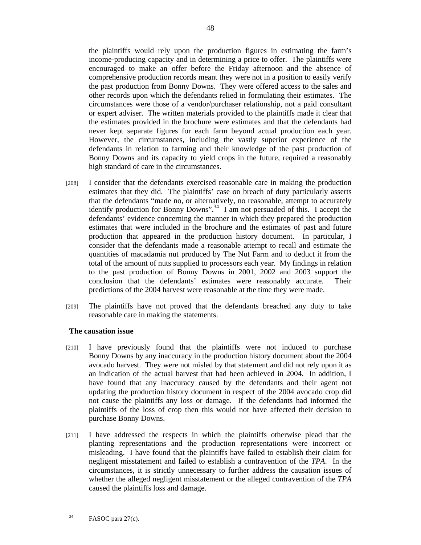the plaintiffs would rely upon the production figures in estimating the farm's income-producing capacity and in determining a price to offer. The plaintiffs were encouraged to make an offer before the Friday afternoon and the absence of comprehensive production records meant they were not in a position to easily verify the past production from Bonny Downs. They were offered access to the sales and other records upon which the defendants relied in formulating their estimates. The circumstances were those of a vendor/purchaser relationship, not a paid consultant or expert adviser. The written materials provided to the plaintiffs made it clear that the estimates provided in the brochure were estimates and that the defendants had never kept separate figures for each farm beyond actual production each year. However, the circumstances, including the vastly superior experience of the defendants in relation to farming and their knowledge of the past production of Bonny Downs and its capacity to yield crops in the future, required a reasonably high standard of care in the circumstances.

- [208] I consider that the defendants exercised reasonable care in making the production estimates that they did. The plaintiffs' case on breach of duty particularly asserts that the defendants "made no, or alternatively, no reasonable, attempt to accurately identify production for Bonny Downs".<sup>34</sup> I am not persuaded of this. I accept the defendants' evidence concerning the manner in which they prepared the production estimates that were included in the brochure and the estimates of past and future production that appeared in the production history document. In particular, I consider that the defendants made a reasonable attempt to recall and estimate the quantities of macadamia nut produced by The Nut Farm and to deduct it from the total of the amount of nuts supplied to processors each year. My findings in relation to the past production of Bonny Downs in 2001, 2002 and 2003 support the conclusion that the defendants' estimates were reasonably accurate. Their predictions of the 2004 harvest were reasonable at the time they were made.
- [209] The plaintiffs have not proved that the defendants breached any duty to take reasonable care in making the statements.

## **The causation issue**

- [210] I have previously found that the plaintiffs were not induced to purchase Bonny Downs by any inaccuracy in the production history document about the 2004 avocado harvest. They were not misled by that statement and did not rely upon it as an indication of the actual harvest that had been achieved in 2004. In addition, I have found that any inaccuracy caused by the defendants and their agent not updating the production history document in respect of the 2004 avocado crop did not cause the plaintiffs any loss or damage. If the defendants had informed the plaintiffs of the loss of crop then this would not have affected their decision to purchase Bonny Downs.
- [211] I have addressed the respects in which the plaintiffs otherwise plead that the planting representations and the production representations were incorrect or misleading. I have found that the plaintiffs have failed to establish their claim for negligent misstatement and failed to establish a contravention of the *TPA*. In the circumstances, it is strictly unnecessary to further address the causation issues of whether the alleged negligent misstatement or the alleged contravention of the *TPA* caused the plaintiffs loss and damage.

<sup>34</sup> FASOC para 27(c).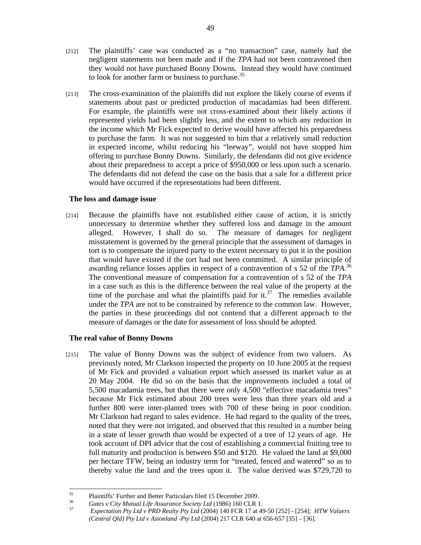- [212] The plaintiffs' case was conducted as a "no transaction" case, namely had the negligent statements not been made and if the *TPA* had not been contravened then they would not have purchased Bonny Downs. Instead they would have continued to look for another farm or business to purchase.<sup>35</sup>
- [213] The cross-examination of the plaintiffs did not explore the likely course of events if statements about past or predicted production of macadamias had been different. For example, the plaintiffs were not cross-examined about their likely actions if represented yields had been slightly less, and the extent to which any reduction in the income which Mr Fick expected to derive would have affected his preparedness to purchase the farm. It was not suggested to him that a relatively small reduction in expected income, whilst reducing his "leeway", would not have stopped him offering to purchase Bonny Downs. Similarly, the defendants did not give evidence about their preparedness to accept a price of \$950,000 or less upon such a scenario. The defendants did not defend the case on the basis that a sale for a different price would have occurred if the representations had been different.

## **The loss and damage issue**

[214] Because the plaintiffs have not established either cause of action, it is strictly unnecessary to determine whether they suffered loss and damage in the amount alleged. However, I shall do so. The measure of damages for negligent misstatement is governed by the general principle that the assessment of damages in tort is to compensate the injured party to the extent necessary to put it in the position that would have existed if the tort had not been committed. A similar principle of awarding reliance losses applies in respect of a contravention of s 52 of the *TPA*. 36 The conventional measure of compensation for a contravention of s 52 of the *TPA* in a case such as this is the difference between the real value of the property at the time of the purchase and what the plaintiffs paid for it.<sup>37</sup> The remedies available under the *TPA* are not to be constrained by reference to the common law. However, the parties in these proceedings did not contend that a different approach to the measure of damages or the date for assessment of loss should be adopted.

## **The real value of Bonny Downs**

[215] The value of Bonny Downs was the subject of evidence from two valuers. As previously noted, Mr Clarkson inspected the property on 10 June 2005 at the request of Mr Fick and provided a valuation report which assessed its market value as at 20 May 2004. He did so on the basis that the improvements included a total of 5,500 macadamia trees, but that there were only 4,500 "effective macadamia trees" because Mr Fick estimated about 200 trees were less than three years old and a further 800 were inter-planted trees with 700 of these being in poor condition. Mr Clarkson had regard to sales evidence. He had regard to the quality of the trees, noted that they were not irrigated, and observed that this resulted in a number being in a state of lesser growth than would be expected of a tree of 12 years of age. He took account of DPI advice that the cost of establishing a commercial fruiting tree to full maturity and production is between \$50 and \$120. He valued the land at \$9,000 per hectare TFW, being an industry term for "treated, fenced and watered" so as to thereby value the land and the trees upon it. The value derived was \$729,720 to

<sup>35</sup> <sup>35</sup> Plaintiffs' Further and Better Particulars filed 15 December 2009.

<sup>36</sup>*Gates v City Mutual Life Assurance Society Ltd* (1986) 160 CLR 1. 37 *Expectation Pty Ltd v PRD Realty Pty Ltd* (2004) 140 FCR 17 at 49-50 [252] - [254]; *HTW Valuers (Central Qld) Pty Ltd v Astonland -Pty Ltd* (2004) 217 CLR 640 at 656-657 [35] – [36].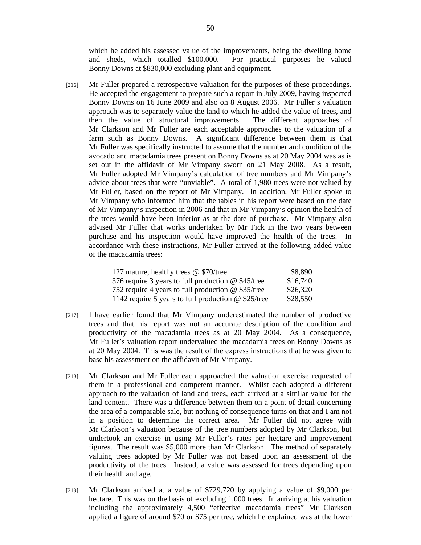which he added his assessed value of the improvements, being the dwelling home and sheds, which totalled \$100,000. For practical purposes he valued Bonny Downs at \$830,000 excluding plant and equipment.

[216] Mr Fuller prepared a retrospective valuation for the purposes of these proceedings. He accepted the engagement to prepare such a report in July 2009, having inspected Bonny Downs on 16 June 2009 and also on 8 August 2006. Mr Fuller's valuation approach was to separately value the land to which he added the value of trees, and then the value of structural improvements. The different approaches of Mr Clarkson and Mr Fuller are each acceptable approaches to the valuation of a farm such as Bonny Downs. A significant difference between them is that Mr Fuller was specifically instructed to assume that the number and condition of the avocado and macadamia trees present on Bonny Downs as at 20 May 2004 was as is set out in the affidavit of Mr Vimpany sworn on 21 May 2008. As a result, Mr Fuller adopted Mr Vimpany's calculation of tree numbers and Mr Vimpany's advice about trees that were "unviable". A total of 1,980 trees were not valued by Mr Fuller, based on the report of Mr Vimpany. In addition, Mr Fuller spoke to Mr Vimpany who informed him that the tables in his report were based on the date of Mr Vimpany's inspection in 2006 and that in Mr Vimpany's opinion the health of the trees would have been inferior as at the date of purchase. Mr Vimpany also advised Mr Fuller that works undertaken by Mr Fick in the two years between purchase and his inspection would have improved the health of the trees. In accordance with these instructions, Mr Fuller arrived at the following added value of the macadamia trees:

| 127 mature, healthy trees @ \$70/tree                      | \$8,890  |
|------------------------------------------------------------|----------|
| 376 require 3 years to full production $\omega$ \$45/tree  | \$16,740 |
| 752 require 4 years to full production $\omega$ \$35/tree  | \$26,320 |
| 1142 require 5 years to full production $\omega$ \$25/tree | \$28,550 |

- [217] I have earlier found that Mr Vimpany underestimated the number of productive trees and that his report was not an accurate description of the condition and productivity of the macadamia trees as at 20 May 2004. As a consequence, Mr Fuller's valuation report undervalued the macadamia trees on Bonny Downs as at 20 May 2004. This was the result of the express instructions that he was given to base his assessment on the affidavit of Mr Vimpany.
- [218] Mr Clarkson and Mr Fuller each approached the valuation exercise requested of them in a professional and competent manner. Whilst each adopted a different approach to the valuation of land and trees, each arrived at a similar value for the land content. There was a difference between them on a point of detail concerning the area of a comparable sale, but nothing of consequence turns on that and I am not in a position to determine the correct area. Mr Fuller did not agree with Mr Clarkson's valuation because of the tree numbers adopted by Mr Clarkson, but undertook an exercise in using Mr Fuller's rates per hectare and improvement figures. The result was \$5,000 more than Mr Clarkson. The method of separately valuing trees adopted by Mr Fuller was not based upon an assessment of the productivity of the trees. Instead, a value was assessed for trees depending upon their health and age.
- [219] Mr Clarkson arrived at a value of \$729,720 by applying a value of \$9,000 per hectare. This was on the basis of excluding 1,000 trees. In arriving at his valuation including the approximately 4,500 "effective macadamia trees" Mr Clarkson applied a figure of around \$70 or \$75 per tree, which he explained was at the lower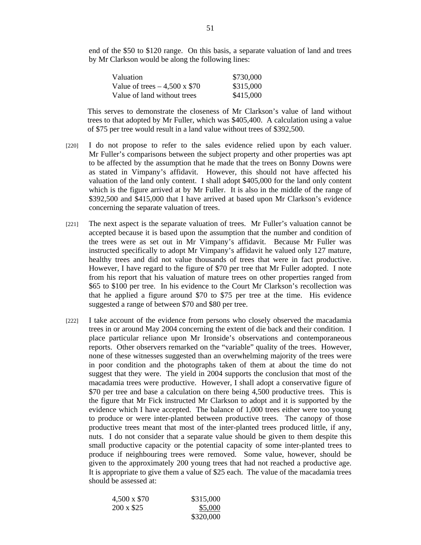end of the \$50 to \$120 range. On this basis, a separate valuation of land and trees by Mr Clarkson would be along the following lines:

| Valuation                           | \$730,000 |
|-------------------------------------|-----------|
| Value of trees $-4,500 \times$ \$70 | \$315,000 |
| Value of land without trees         | \$415,000 |

This serves to demonstrate the closeness of Mr Clarkson's value of land without trees to that adopted by Mr Fuller, which was \$405,400. A calculation using a value of \$75 per tree would result in a land value without trees of \$392,500.

- [220] I do not propose to refer to the sales evidence relied upon by each valuer. Mr Fuller's comparisons between the subject property and other properties was apt to be affected by the assumption that he made that the trees on Bonny Downs were as stated in Vimpany's affidavit. However, this should not have affected his valuation of the land only content. I shall adopt \$405,000 for the land only content which is the figure arrived at by Mr Fuller. It is also in the middle of the range of \$392,500 and \$415,000 that I have arrived at based upon Mr Clarkson's evidence concerning the separate valuation of trees.
- [221] The next aspect is the separate valuation of trees. Mr Fuller's valuation cannot be accepted because it is based upon the assumption that the number and condition of the trees were as set out in Mr Vimpany's affidavit. Because Mr Fuller was instructed specifically to adopt Mr Vimpany's affidavit he valued only 127 mature, healthy trees and did not value thousands of trees that were in fact productive. However, I have regard to the figure of \$70 per tree that Mr Fuller adopted. I note from his report that his valuation of mature trees on other properties ranged from \$65 to \$100 per tree. In his evidence to the Court Mr Clarkson's recollection was that he applied a figure around \$70 to \$75 per tree at the time. His evidence suggested a range of between \$70 and \$80 per tree.
- [222] I take account of the evidence from persons who closely observed the macadamia trees in or around May 2004 concerning the extent of die back and their condition. I place particular reliance upon Mr Ironside's observations and contemporaneous reports. Other observers remarked on the "variable" quality of the trees. However, none of these witnesses suggested than an overwhelming majority of the trees were in poor condition and the photographs taken of them at about the time do not suggest that they were. The yield in 2004 supports the conclusion that most of the macadamia trees were productive. However, I shall adopt a conservative figure of \$70 per tree and base a calculation on there being 4,500 productive trees. This is the figure that Mr Fick instructed Mr Clarkson to adopt and it is supported by the evidence which I have accepted. The balance of 1,000 trees either were too young to produce or were inter-planted between productive trees. The canopy of those productive trees meant that most of the inter-planted trees produced little, if any, nuts. I do not consider that a separate value should be given to them despite this small productive capacity or the potential capacity of some inter-planted trees to produce if neighbouring trees were removed. Some value, however, should be given to the approximately 200 young trees that had not reached a productive age. It is appropriate to give them a value of \$25 each. The value of the macadamia trees should be assessed at:

| 4,500 x \$70     | \$315,000 |
|------------------|-----------|
| $200 \times $25$ | \$5,000   |
|                  | \$320,000 |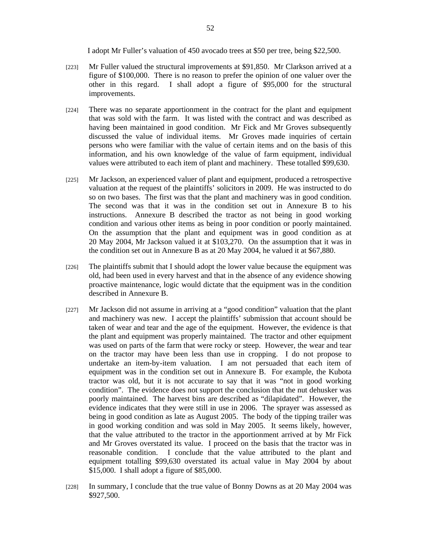I adopt Mr Fuller's valuation of 450 avocado trees at \$50 per tree, being \$22,500.

- [223] Mr Fuller valued the structural improvements at \$91,850. Mr Clarkson arrived at a figure of \$100,000. There is no reason to prefer the opinion of one valuer over the other in this regard. I shall adopt a figure of \$95,000 for the structural improvements.
- [224] There was no separate apportionment in the contract for the plant and equipment that was sold with the farm. It was listed with the contract and was described as having been maintained in good condition. Mr Fick and Mr Groves subsequently discussed the value of individual items. Mr Groves made inquiries of certain persons who were familiar with the value of certain items and on the basis of this information, and his own knowledge of the value of farm equipment, individual values were attributed to each item of plant and machinery. These totalled \$99,630.
- [225] Mr Jackson, an experienced valuer of plant and equipment, produced a retrospective valuation at the request of the plaintiffs' solicitors in 2009. He was instructed to do so on two bases. The first was that the plant and machinery was in good condition. The second was that it was in the condition set out in Annexure B to his instructions. Annexure B described the tractor as not being in good working condition and various other items as being in poor condition or poorly maintained. On the assumption that the plant and equipment was in good condition as at 20 May 2004, Mr Jackson valued it at \$103,270. On the assumption that it was in the condition set out in Annexure B as at 20 May 2004, he valued it at \$67,880.
- [226] The plaintiffs submit that I should adopt the lower value because the equipment was old, had been used in every harvest and that in the absence of any evidence showing proactive maintenance, logic would dictate that the equipment was in the condition described in Annexure B.
- [227] Mr Jackson did not assume in arriving at a "good condition" valuation that the plant and machinery was new. I accept the plaintiffs' submission that account should be taken of wear and tear and the age of the equipment. However, the evidence is that the plant and equipment was properly maintained. The tractor and other equipment was used on parts of the farm that were rocky or steep. However, the wear and tear on the tractor may have been less than use in cropping. I do not propose to undertake an item-by-item valuation. I am not persuaded that each item of equipment was in the condition set out in Annexure B. For example, the Kubota tractor was old, but it is not accurate to say that it was "not in good working condition". The evidence does not support the conclusion that the nut dehusker was poorly maintained. The harvest bins are described as "dilapidated". However, the evidence indicates that they were still in use in 2006. The sprayer was assessed as being in good condition as late as August 2005. The body of the tipping trailer was in good working condition and was sold in May 2005. It seems likely, however, that the value attributed to the tractor in the apportionment arrived at by Mr Fick and Mr Groves overstated its value. I proceed on the basis that the tractor was in reasonable condition. I conclude that the value attributed to the plant and equipment totalling \$99,630 overstated its actual value in May 2004 by about \$15,000. I shall adopt a figure of \$85,000.
- [228] In summary, I conclude that the true value of Bonny Downs as at 20 May 2004 was \$927,500.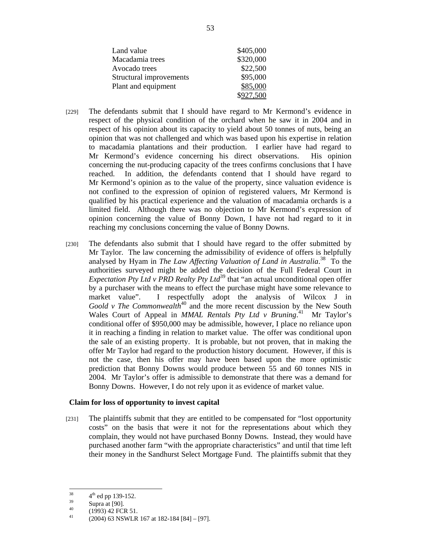| Land value              | \$405,000 |
|-------------------------|-----------|
| Macadamia trees         | \$320,000 |
| Avocado trees           | \$22,500  |
| Structural improvements | \$95,000  |
| Plant and equipment     | \$85,000  |
|                         | \$927,500 |

- [229] The defendants submit that I should have regard to Mr Kermond's evidence in respect of the physical condition of the orchard when he saw it in 2004 and in respect of his opinion about its capacity to yield about 50 tonnes of nuts, being an opinion that was not challenged and which was based upon his expertise in relation to macadamia plantations and their production. I earlier have had regard to Mr Kermond's evidence concerning his direct observations. His opinion concerning the nut-producing capacity of the trees confirms conclusions that I have reached. In addition, the defendants contend that I should have regard to Mr Kermond's opinion as to the value of the property, since valuation evidence is not confined to the expression of opinion of registered valuers, Mr Kermond is qualified by his practical experience and the valuation of macadamia orchards is a limited field. Although there was no objection to Mr Kermond's expression of opinion concerning the value of Bonny Down, I have not had regard to it in reaching my conclusions concerning the value of Bonny Downs.
- [230] The defendants also submit that I should have regard to the offer submitted by Mr Taylor. The law concerning the admissibility of evidence of offers is helpfully analysed by Hyam in *The Law Affecting Valuation of Land in Australia*.<sup>38</sup> To the authorities surveyed might be added the decision of the Full Federal Court in *Expectation Pty Ltd v PRD Realty Pty Ltd*<sup>39</sup> that "an actual unconditional open offer by a purchaser with the means to effect the purchase might have some relevance to market value". I respectfully adopt the analysis of Wilcox J in *Goold v The Commonwealth*<sup>40</sup> and the more recent discussion by the New South Wales Court of Appeal in *MMAL Rentals Pty Ltd v Bruning*.<sup>41</sup> Mr Taylor's conditional offer of \$950,000 may be admissible, however, I place no reliance upon it in reaching a finding in relation to market value. The offer was conditional upon the sale of an existing property. It is probable, but not proven, that in making the offer Mr Taylor had regard to the production history document. However, if this is not the case, then his offer may have been based upon the more optimistic prediction that Bonny Downs would produce between 55 and 60 tonnes NIS in 2004. Mr Taylor's offer is admissible to demonstrate that there was a demand for Bonny Downs. However, I do not rely upon it as evidence of market value.

#### **Claim for loss of opportunity to invest capital**

[231] The plaintiffs submit that they are entitled to be compensated for "lost opportunity costs" on the basis that were it not for the representations about which they complain, they would not have purchased Bonny Downs. Instead, they would have purchased another farm "with the appropriate characteristics" and until that time left their money in the Sandhurst Select Mortgage Fund. The plaintiffs submit that they

<sup>38</sup>  $rac{38}{39}$   $rac{4^{\text{th}}}{{\text{ed pp}} 139-152}.$ <br>Supra at [90].

 $^{40}$  (1993) 42 FCR 51.

<sup>41 (2004) 63</sup> NSWLR 167 at 182-184 [84] – [97].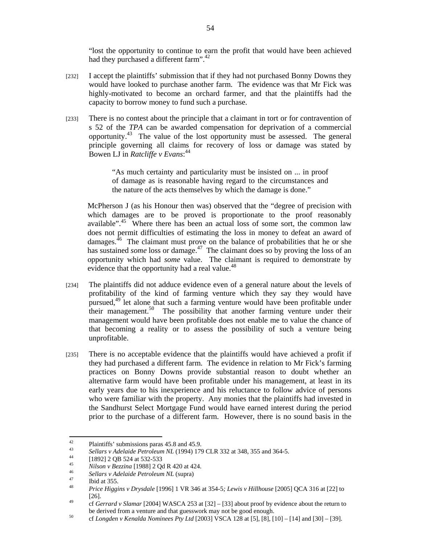"lost the opportunity to continue to earn the profit that would have been achieved had they purchased a different farm".<sup>42</sup>

- [232] I accept the plaintiffs' submission that if they had not purchased Bonny Downs they would have looked to purchase another farm. The evidence was that Mr Fick was highly-motivated to become an orchard farmer, and that the plaintiffs had the capacity to borrow money to fund such a purchase.
- [233] There is no contest about the principle that a claimant in tort or for contravention of s 52 of the *TPA* can be awarded compensation for deprivation of a commercial opportunity.43 The value of the lost opportunity must be assessed. The general principle governing all claims for recovery of loss or damage was stated by Bowen LJ in *Ratcliffe v Evans*: 44

"As much certainty and particularity must be insisted on ... in proof of damage as is reasonable having regard to the circumstances and the nature of the acts themselves by which the damage is done."

McPherson J (as his Honour then was) observed that the "degree of precision with which damages are to be proved is proportionate to the proof reasonably available".<sup>45</sup> Where there has been an actual loss of some sort, the common law does not permit difficulties of estimating the loss in money to defeat an award of damages.<sup>46</sup> The claimant must prove on the balance of probabilities that he or she has sustained *some* loss or damage.<sup>47</sup> The claimant does so by proving the loss of an opportunity which had *some* value. The claimant is required to demonstrate by evidence that the opportunity had a real value.<sup>48</sup>

- [234] The plaintiffs did not adduce evidence even of a general nature about the levels of profitability of the kind of farming venture which they say they would have pursued,<sup>49</sup> let alone that such a farming venture would have been profitable under their management.<sup>50</sup> The possibility that another farming venture under their management would have been profitable does not enable me to value the chance of that becoming a reality or to assess the possibility of such a venture being unprofitable.
- [235] There is no acceptable evidence that the plaintiffs would have achieved a profit if they had purchased a different farm. The evidence in relation to Mr Fick's farming practices on Bonny Downs provide substantial reason to doubt whether an alternative farm would have been profitable under his management, at least in its early years due to his inexperience and his reluctance to follow advice of persons who were familiar with the property. Any monies that the plaintiffs had invested in the Sandhurst Select Mortgage Fund would have earned interest during the period prior to the purchase of a different farm. However, there is no sound basis in the

 $42 \overline{ }$ <sup>42</sup> Plaintiffs' submissions paras 45.8 and 45.9.

<sup>43</sup> *Sellars v Adelaide Petroleum NL* (1994) 179 CLR 332 at 348, 355 and 364-5.<br>
[1892] 2 QB 524 at 532-533<br>
45 **1892** 12 QB 524 at 532-533

<sup>&</sup>lt;sup>45</sup>*Nilson v Bezzina* [1988] 2 Qd R 420 at 424.<br> *46 Sellars v Adelaide Petroleum NL* (supra)<br>
<sup>47</sup> Ibid at 355.<br> *Prince Hissingy Propelals* [1996] 1 MP 346

<sup>48</sup> *Price Higgins v Drysdale* [1996] 1 VR 346 at 354-5*; Lewis v Hillhouse* [2005] QCA 316 at [22] to

<sup>[26]. 49</sup> cf *Gerrard v Slamar* [2004] WASCA 253 at [32] – [33] about proof by evidence about the return to

be derived from a venture and that guesswork may not be good enough.<br>50 cf *Longden v Kenalda Nominees Pty Ltd* [2003] VSCA 128 at [5], [8], [10] – [14] and [30] – [39].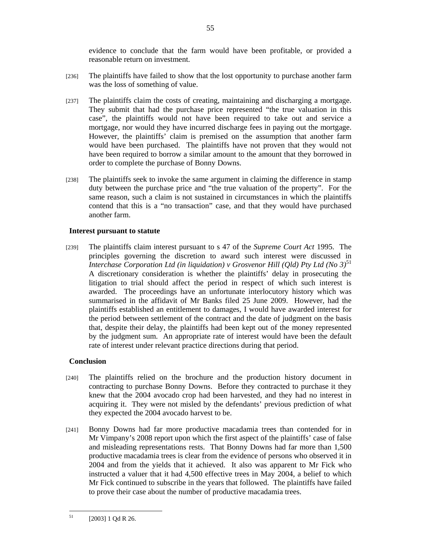evidence to conclude that the farm would have been profitable, or provided a reasonable return on investment.

- [236] The plaintiffs have failed to show that the lost opportunity to purchase another farm was the loss of something of value.
- [237] The plaintiffs claim the costs of creating, maintaining and discharging a mortgage. They submit that had the purchase price represented "the true valuation in this case", the plaintiffs would not have been required to take out and service a mortgage, nor would they have incurred discharge fees in paying out the mortgage. However, the plaintiffs' claim is premised on the assumption that another farm would have been purchased. The plaintiffs have not proven that they would not have been required to borrow a similar amount to the amount that they borrowed in order to complete the purchase of Bonny Downs.
- [238] The plaintiffs seek to invoke the same argument in claiming the difference in stamp duty between the purchase price and "the true valuation of the property". For the same reason, such a claim is not sustained in circumstances in which the plaintiffs contend that this is a "no transaction" case, and that they would have purchased another farm.

## **Interest pursuant to statute**

[239] The plaintiffs claim interest pursuant to s 47 of the *Supreme Court Act* 1995. The principles governing the discretion to award such interest were discussed in *Interchase Corporation Ltd (in liquidation) v Grosvenor Hill (Qld) Pty Ltd (No 3)*<sup>51</sup> A discretionary consideration is whether the plaintiffs' delay in prosecuting the litigation to trial should affect the period in respect of which such interest is awarded. The proceedings have an unfortunate interlocutory history which was summarised in the affidavit of Mr Banks filed 25 June 2009. However, had the plaintiffs established an entitlement to damages, I would have awarded interest for the period between settlement of the contract and the date of judgment on the basis that, despite their delay, the plaintiffs had been kept out of the money represented by the judgment sum. An appropriate rate of interest would have been the default rate of interest under relevant practice directions during that period.

## **Conclusion**

- [240] The plaintiffs relied on the brochure and the production history document in contracting to purchase Bonny Downs. Before they contracted to purchase it they knew that the 2004 avocado crop had been harvested, and they had no interest in acquiring it. They were not misled by the defendants' previous prediction of what they expected the 2004 avocado harvest to be.
- [241] Bonny Downs had far more productive macadamia trees than contended for in Mr Vimpany's 2008 report upon which the first aspect of the plaintiffs' case of false and misleading representations rests. That Bonny Downs had far more than 1,500 productive macadamia trees is clear from the evidence of persons who observed it in 2004 and from the yields that it achieved. It also was apparent to Mr Fick who instructed a valuer that it had 4,500 effective trees in May 2004, a belief to which Mr Fick continued to subscribe in the years that followed. The plaintiffs have failed to prove their case about the number of productive macadamia trees.